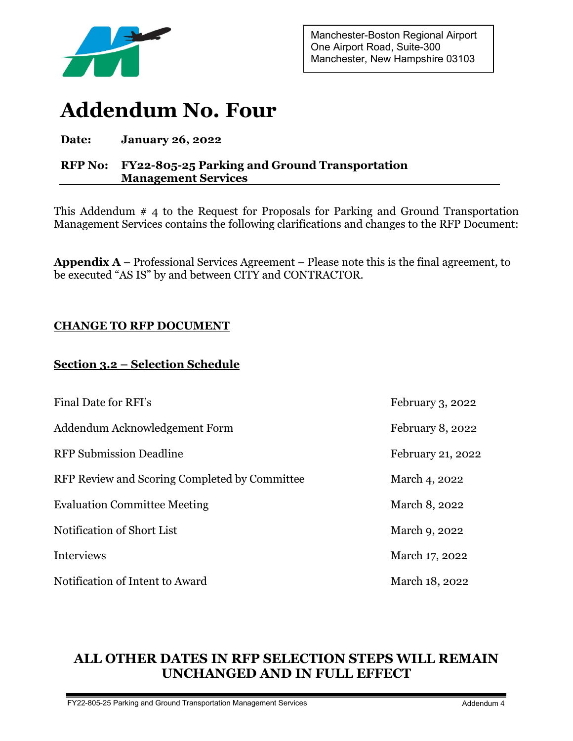

Manchester-Boston Regional Airport One Airport Road, Suite-300 Manchester, New Hampshire 03103

# **Addendum No. Four**

# **Date: January 26, 2022**

# **RFP No: FY22-805-25 Parking and Ground Transportation Management Services**

This Addendum # 4 to the Request for Proposals for Parking and Ground Transportation Management Services contains the following clarifications and changes to the RFP Document:

**Appendix A** – Professional Services Agreement – Please note this is the final agreement, to be executed "AS IS" by and between CITY and CONTRACTOR.

# **CHANGE TO RFP DOCUMENT**

# **Section 3.2 – Selection Schedule**

| Final Date for RFI's                          | February 3, 2022  |
|-----------------------------------------------|-------------------|
| Addendum Acknowledgement Form                 | February 8, 2022  |
| <b>RFP Submission Deadline</b>                | February 21, 2022 |
| RFP Review and Scoring Completed by Committee | March 4, 2022     |
| <b>Evaluation Committee Meeting</b>           | March 8, 2022     |
| Notification of Short List                    | March 9, 2022     |
| Interviews                                    | March 17, 2022    |
| Notification of Intent to Award               | March 18, 2022    |

# **ALL OTHER DATES IN RFP SELECTION STEPS WILL REMAIN UNCHANGED AND IN FULL EFFECT**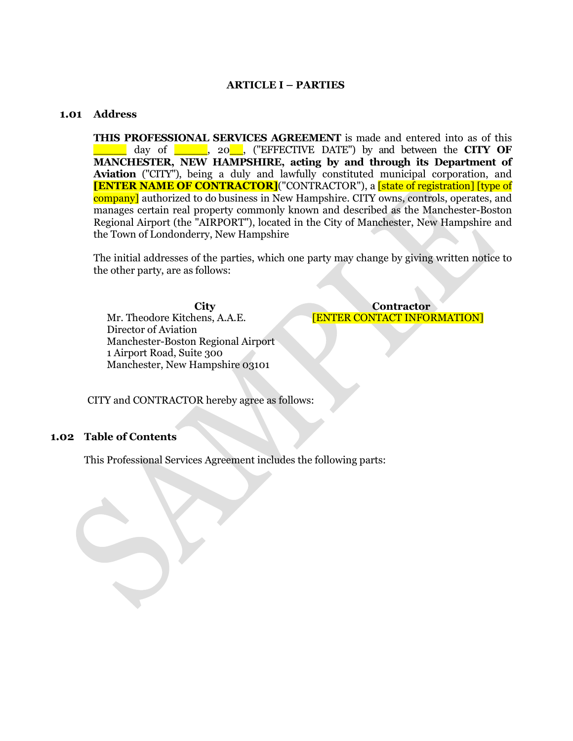#### **ARTICLE I – PARTIES**

#### <span id="page-1-1"></span><span id="page-1-0"></span>**1.01 Address**

**THIS PROFESSIONAL SERVICES AGREEMENT** is made and entered into as of this \_\_\_\_\_ day of \_\_\_\_\_, 20\_\_, ("EFFECTIVE DATE") by and between the **CITY OF MANCHESTER, NEW HAMPSHIRE, acting by and through its Department of Aviation** ("CITY"), being a duly and lawfully constituted municipal corporation, and **[ENTER NAME OF CONTRACTOR]**("CONTRACTOR"), a **[state of registration]** [type of company] authorized to do business in New Hampshire. CITY owns, controls, operates, and manages certain real property commonly known and described as the Manchester-Boston Regional Airport (the "AIRPORT"), located in the City of Manchester, New Hampshire and the Town of Londonderry, New Hampshire

The initial addresses of the parties, which one party may change by giving written notice to the other party, are as follows:

Mr. Theodore Kitchens, A.A.E. Director of Aviation Manchester-Boston Regional Airport 1 Airport Road, Suite 300 Manchester, New Hampshire 03101

**City Contractor** [ENTER CONTACT INFORMATION]

CITY and CONTRACTOR hereby agree as follows:

#### <span id="page-1-2"></span>**1.02 Table of Contents**

This Professional Services Agreement includes the following parts: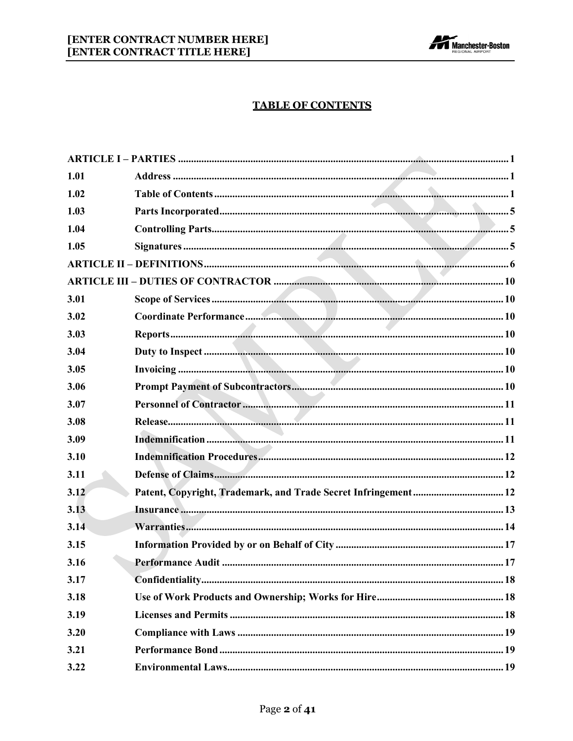

# **TABLE OF CONTENTS**

| 1.01 |  |
|------|--|
| 1.02 |  |
| 1.03 |  |
| 1.04 |  |
| 1.05 |  |
|      |  |
|      |  |
| 3.01 |  |
| 3.02 |  |
| 3.03 |  |
| 3.04 |  |
| 3.05 |  |
| 3.06 |  |
| 3.07 |  |
| 3.08 |  |
| 3.09 |  |
| 3.10 |  |
| 3.11 |  |
| 3.12 |  |
| 3.13 |  |
| 3.14 |  |
| 3.15 |  |
| 3.16 |  |
| 3.17 |  |
| 3.18 |  |
| 3.19 |  |
| 3.20 |  |
| 3.21 |  |
| 3.22 |  |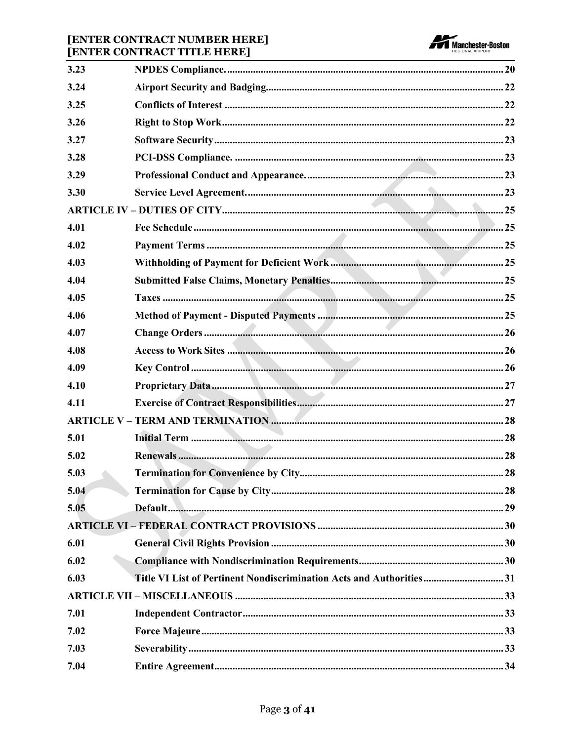# [ENTER CONTRACT NUMBER HERE]<br>[ENTER CONTRACT TITLE HERE]



|      | <u> 1989 - Johann Stoff, amerikansk politiker (* 1908)</u>          |      |
|------|---------------------------------------------------------------------|------|
| 3.23 |                                                                     |      |
| 3.24 |                                                                     |      |
| 3.25 |                                                                     |      |
| 3.26 |                                                                     |      |
| 3.27 |                                                                     |      |
| 3.28 |                                                                     |      |
| 3.29 |                                                                     |      |
| 3.30 |                                                                     |      |
|      |                                                                     |      |
| 4.01 |                                                                     |      |
| 4.02 |                                                                     |      |
| 4.03 |                                                                     |      |
| 4.04 |                                                                     |      |
| 4.05 |                                                                     |      |
| 4.06 |                                                                     |      |
| 4.07 |                                                                     |      |
| 4.08 |                                                                     |      |
| 4.09 |                                                                     |      |
| 4.10 |                                                                     |      |
| 4.11 |                                                                     |      |
|      |                                                                     |      |
| 5.01 |                                                                     |      |
| 5.02 |                                                                     |      |
| 5.03 |                                                                     | . 28 |
| 5.04 |                                                                     |      |
| 5.05 |                                                                     |      |
|      |                                                                     |      |
| 6.01 |                                                                     |      |
| 6.02 |                                                                     |      |
| 6.03 | Title VI List of Pertinent Nondiscrimination Acts and Authorities31 |      |
|      |                                                                     |      |
| 7.01 |                                                                     |      |
| 7.02 |                                                                     |      |
| 7.03 |                                                                     |      |
| 7.04 |                                                                     |      |
|      |                                                                     |      |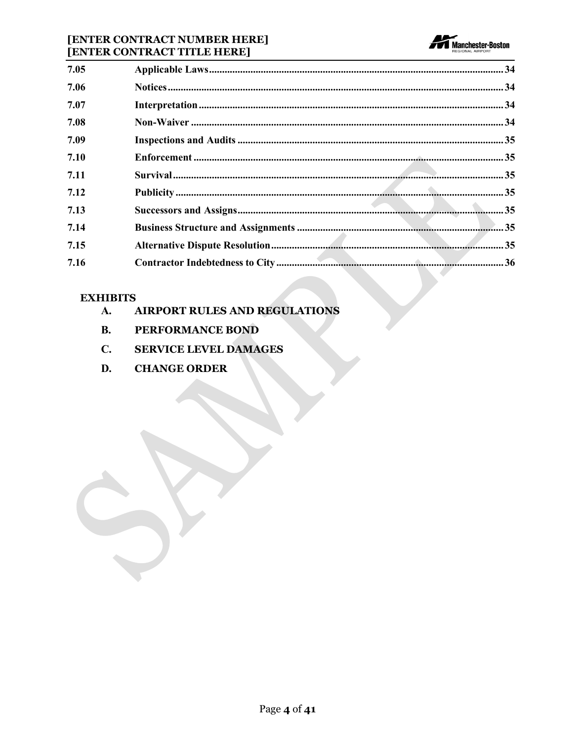### [ENTER CONTRACT NUMBER HERE] [ENTER CONTRACT TITLE HERE]



| 7.05 |  |  |
|------|--|--|
| 7.06 |  |  |
| 7.07 |  |  |
| 7.08 |  |  |
| 7.09 |  |  |
| 7.10 |  |  |
| 7.11 |  |  |
| 7.12 |  |  |
| 7.13 |  |  |
| 7.14 |  |  |
| 7.15 |  |  |
| 7.16 |  |  |

# **EXHIBITS**

- **AIRPORT RULES AND REGULATIONS** A.
- **B.** PERFORMANCE BOND
- $\mathbf{C}$ . **SERVICE LEVEL DAMAGES**
- D. **CHANGE ORDER**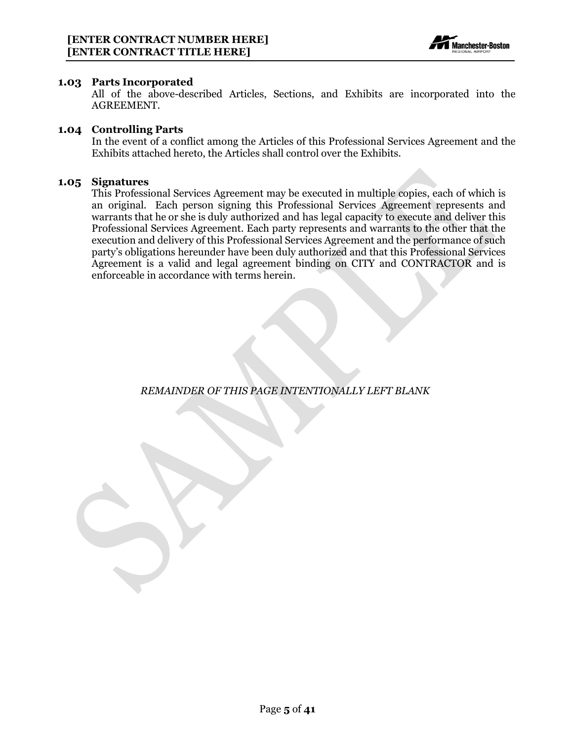

#### <span id="page-5-0"></span>**1.03 Parts Incorporated**

All of the above-described Articles, Sections, and Exhibits are incorporated into the AGREEMENT.

#### <span id="page-5-1"></span>**1.04 Controlling Parts**

In the event of a conflict among the Articles of this Professional Services Agreement and the Exhibits attached hereto, the Articles shall control over the Exhibits.

#### <span id="page-5-2"></span>**1.05 Signatures**

This Professional Services Agreement may be executed in multiple copies, each of which is an original. Each person signing this Professional Services Agreement represents and warrants that he or she is duly authorized and has legal capacity to execute and deliver this Professional Services Agreement. Each party represents and warrants to the other that the execution and delivery of this Professional Services Agreement and the performance of such party's obligations hereunder have been duly authorized and that this Professional Services Agreement is a valid and legal agreement binding on CITY and CONTRACTOR and is enforceable in accordance with terms herein.

*REMAINDER OF THIS PAGE INTENTIONALLY LEFT BLANK*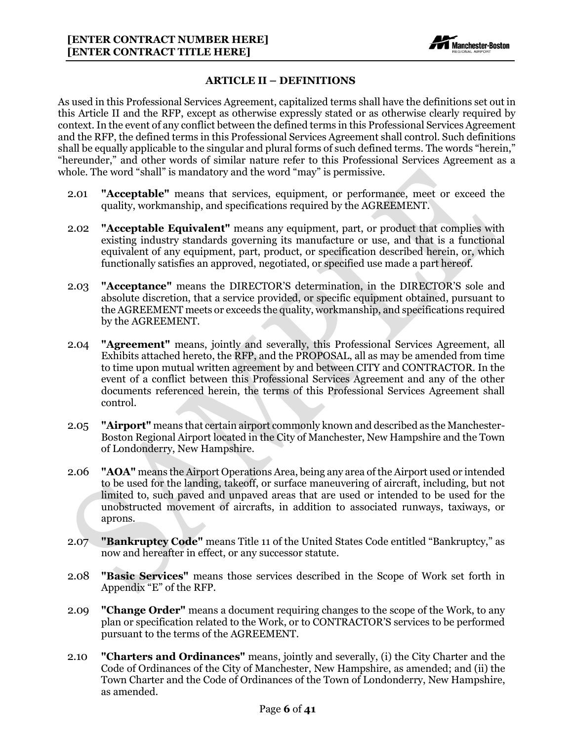

#### **ARTICLE II – DEFINITIONS**

<span id="page-6-0"></span>As used in this Professional Services Agreement, capitalized terms shall have the definitions set out in this Article II and the RFP, except as otherwise expressly stated or as otherwise clearly required by context. In the event of any conflict between the defined terms in this Professional Services Agreement and the RFP, the defined terms in this Professional Services Agreement shall control. Such definitions shall be equally applicable to the singular and plural forms of such defined terms. The words "herein," "hereunder," and other words of similar nature refer to this Professional Services Agreement as a whole. The word "shall" is mandatory and the word "may" is permissive.

- 2.01 **"Acceptable"** means that services, equipment, or performance, meet or exceed the quality, workmanship, and specifications required by the AGREEMENT.
- 2.02 **"Acceptable Equivalent"** means any equipment, part, or product that complies with existing industry standards governing its manufacture or use, and that is a functional equivalent of any equipment, part, product, or specification described herein, or, which functionally satisfies an approved, negotiated, or specified use made a part hereof.
- 2.03 **"Acceptance"** means the DIRECTOR'S determination, in the DIRECTOR'S sole and absolute discretion, that a service provided, or specific equipment obtained, pursuant to the AGREEMENT meets or exceeds the quality, workmanship, and specifications required by the AGREEMENT.
- 2.04 **"Agreement"** means, jointly and severally, this Professional Services Agreement, all Exhibits attached hereto, the RFP, and the PROPOSAL, all as may be amended from time to time upon mutual written agreement by and between CITY and CONTRACTOR. In the event of a conflict between this Professional Services Agreement and any of the other documents referenced herein, the terms of this Professional Services Agreement shall control.
- 2.05 **"Airport"** means that certain airport commonly known and described as the Manchester-Boston Regional Airport located in the City of Manchester, New Hampshire and the Town of Londonderry, New Hampshire.
- 2.06 **"AOA"** means the Airport Operations Area, being any area of the Airport used or intended to be used for the landing, takeoff, or surface maneuvering of aircraft, including, but not limited to, such paved and unpaved areas that are used or intended to be used for the unobstructed movement of aircrafts, in addition to associated runways, taxiways, or aprons.
- 2.07 **"Bankruptcy Code"** means Title 11 of the United States Code entitled "Bankruptcy," as now and hereafter in effect, or any successor statute.
- 2.08 **"Basic Services"** means those services described in the Scope of Work set forth in Appendix "E" of the RFP.
- 2.09 **"Change Order"** means a document requiring changes to the scope of the Work, to any plan or specification related to the Work, or to CONTRACTOR'S services to be performed pursuant to the terms of the AGREEMENT.
- 2.10 **"Charters and Ordinances"** means, jointly and severally, (i) the City Charter and the Code of Ordinances of the City of Manchester, New Hampshire, as amended; and (ii) the Town Charter and the Code of Ordinances of the Town of Londonderry, New Hampshire, as amended.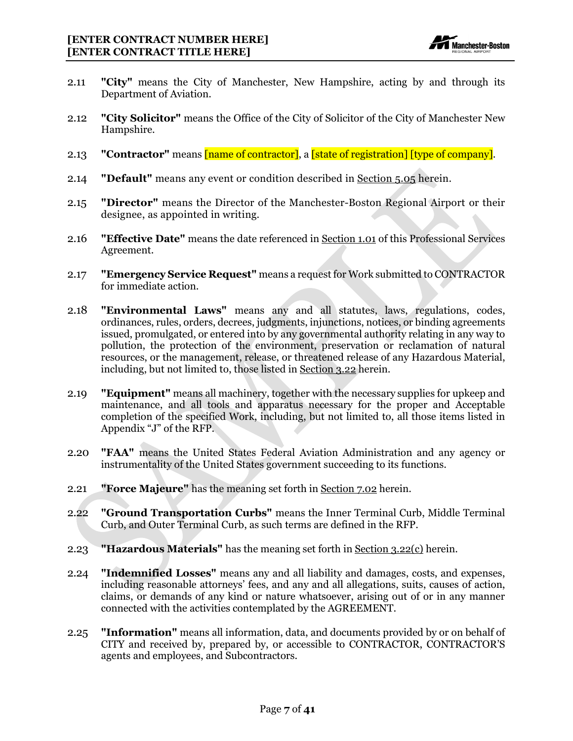

- 2.11 **"City"** means the City of Manchester, New Hampshire, acting by and through its Department of Aviation.
- 2.12 **"City Solicitor"** means the Office of the City of Solicitor of the City of Manchester New Hampshire.
- 2.13 **"Contractor"** means [name of contractor], a [state of registration] [type of company].
- 2.14 **"Default"** means any event or condition described in Section 5.05 herein.
- 2.15 **"Director"** means the Director of the Manchester-Boston Regional Airport or their designee, as appointed in writing.
- 2.16 **"Effective Date"** means the date referenced in Section 1.01 of this Professional Services Agreement.
- 2.17 **"Emergency Service Request"** means a request for Work submitted to CONTRACTOR for immediate action.
- 2.18 **"Environmental Laws"** means any and all statutes, laws, regulations, codes, ordinances, rules, orders, decrees, judgments, injunctions, notices, or binding agreements issued, promulgated, or entered into by any governmental authority relating in any way to pollution, the protection of the environment, preservation or reclamation of natural resources, or the management, release, or threatened release of any Hazardous Material, including, but not limited to, those listed in Section 3.22 herein.
- 2.19 **"Equipment"** means all machinery, together with the necessary supplies for upkeep and maintenance, and all tools and apparatus necessary for the proper and Acceptable completion of the specified Work, including, but not limited to, all those items listed in Appendix "J" of the RFP.
- 2.20 **"FAA"** means the United States Federal Aviation Administration and any agency or instrumentality of the United States government succeeding to its functions.
- 2.21 **"Force Majeure"** has the meaning set forth in Section 7.02 herein.
- 2.22 **"Ground Transportation Curbs"** means the Inner Terminal Curb, Middle Terminal Curb, and Outer Terminal Curb, as such terms are defined in the RFP.
- 2.23 **"Hazardous Materials"** has the meaning set forth in Section 3.22(c) herein.
- 2.24 **"Indemnified Losses"** means any and all liability and damages, costs, and expenses, including reasonable attorneys' fees, and any and all allegations, suits, causes of action, claims, or demands of any kind or nature whatsoever, arising out of or in any manner connected with the activities contemplated by the AGREEMENT.
- 2.25 **"Information"** means all information, data, and documents provided by or on behalf of CITY and received by, prepared by, or accessible to CONTRACTOR, CONTRACTOR'S agents and employees, and Subcontractors.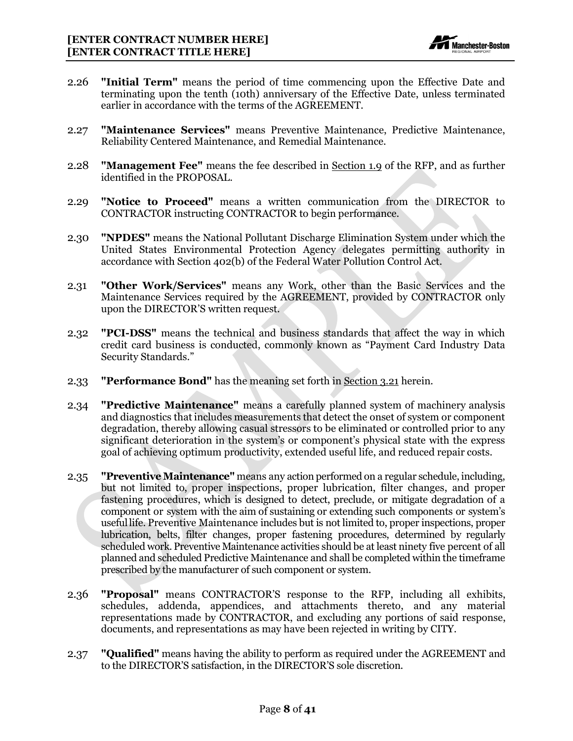

- 2.26 **"Initial Term"** means the period of time commencing upon the Effective Date and terminating upon the tenth (10th) anniversary of the Effective Date, unless terminated earlier in accordance with the terms of the AGREEMENT.
- 2.27 **"Maintenance Services"** means Preventive Maintenance, Predictive Maintenance, Reliability Centered Maintenance, and Remedial Maintenance.
- 2.28 **"Management Fee"** means the fee described in Section 1.9 of the RFP, and as further identified in the PROPOSAL.
- 2.29 **"Notice to Proceed"** means a written communication from the DIRECTOR to CONTRACTOR instructing CONTRACTOR to begin performance.
- 2.30 **"NPDES"** means [the National](https://www.lawinsider.com/dictionary/npdes) Pollutant Discharge Elimination System under which the United States Environmental Protection Agency delegates permitting authority in accordance with Section 402(b) of the Federal Water Pollution Control Act.
- 2.31 **"Other Work/Services"** means any Work, other than the Basic Services and the Maintenance Services required by the AGREEMENT, provided by CONTRACTOR only upon the DIRECTOR'S written request.
- 2.32 **"PCI-DSS"** means the technical and business standards that affect the way in which credit card business is conducted, commonly known as "Payment Card Industry Data Security Standards."
- 2.33 **"Performance Bond"** has the meaning set forth in Section 3.21 herein.
- 2.34 **"Predictive Maintenance"** means a carefully planned system of machinery analysis and diagnostics that includes measurements that detect the onset of system or component degradation, thereby allowing casual stressors to be eliminated or controlled prior to any significant deterioration in the system's or component's physical state with the express goal of achieving optimum productivity, extended useful life, and reduced repair costs.
- 2.35 **"Preventive Maintenance"** means any action performed on a regular schedule, including, but not limited to, proper inspections, proper lubrication, filter changes, and proper fastening procedures, which is designed to detect, preclude, or mitigate degradation of a component or system with the aim of sustaining or extending such components or system's usefullife. Preventive Maintenance includes but is not limited to, proper inspections, proper lubrication, belts, filter changes, proper fastening procedures, determined by regularly scheduled work. Preventive Maintenance activities should be at least ninety five percent of all planned and scheduled Predictive Maintenance and shall be completed within the timeframe prescribed by the manufacturer of such component or system.
- 2.36 **"Proposal"** means CONTRACTOR'S response to the RFP, including all exhibits, schedules, addenda, appendices, and attachments thereto, and any material representations made by CONTRACTOR, and excluding any portions of said response, documents, and representations as may have been rejected in writing by CITY.
- 2.37 **"Qualified"** means having the ability to perform as required under the AGREEMENT and to the DIRECTOR'S satisfaction, in the DIRECTOR'S sole discretion.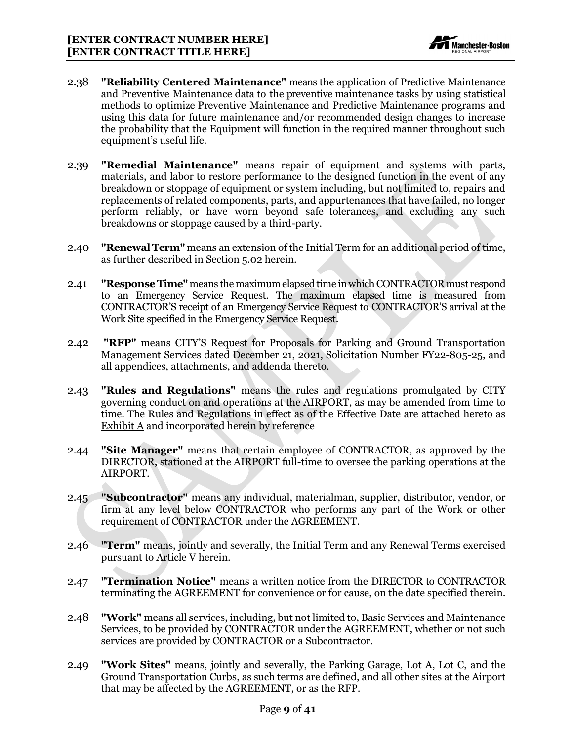

- 2.38 **"Reliability Centered Maintenance"** means the application of Predictive Maintenance and Preventive Maintenance data to the preventive maintenance tasks by using statistical methods to optimize Preventive Maintenance and Predictive Maintenance programs and using this data for future maintenance and/or recommended design changes to increase the probability that the Equipment will function in the required manner throughout such equipment's useful life.
- 2.39 **"Remedial Maintenance"** means repair of equipment and systems with parts, materials, and labor to restore performance to the designed function in the event of any breakdown or stoppage of equipment or system including, but not limited to, repairs and replacements of related components, parts, and appurtenances that have failed, no longer perform reliably, or have worn beyond safe tolerances, and excluding any such breakdowns or stoppage caused by a third-party.
- 2.40 **"Renewal Term"** means an extension of the Initial Term for an additional period of time, as further described in Section 5.02 herein.
- 2.41 **"Response Time"** means the maximum elapsed time in which CONTRACTORmust respond to an Emergency Service Request. The maximum elapsed time is measured from CONTRACTOR'S receipt of an Emergency Service Request to CONTRACTOR'S arrival at the Work Site specified in the Emergency Service Request.
- 2.42 **"RFP"** means CITY'S Request for Proposals for Parking and Ground Transportation Management Services dated December 21, 2021, Solicitation Number FY22-805-25, and all appendices, attachments, and addenda thereto.
- 2.43 **"Rules and Regulations"** means the rules and regulations promulgated by CITY governing conduct on and operations at the AIRPORT, as may be amended from time to time. The Rules and Regulations in effect as of the Effective Date are attached hereto as Exhibit A and incorporated herein by reference
- 2.44 **"Site Manager"** means that certain employee of CONTRACTOR, as approved by the DIRECTOR, stationed at the AIRPORT full-time to oversee the parking operations at the AIRPORT.
- 2.45 **"Subcontractor"** means any individual, materialman, supplier, distributor, vendor, or firm at any level below CONTRACTOR who performs any part of the Work or other requirement of CONTRACTOR under the AGREEMENT.
- 2.46 **"Term"** means, jointly and severally, the Initial Term and any Renewal Terms exercised pursuant to Article V herein.
- 2.47 **"Termination Notice"** means a written notice from the DIRECTOR to CONTRACTOR terminating the AGREEMENT for convenience or for cause, on the date specified therein.
- 2.48 **"Work"** means all services, including, but not limited to, Basic Services and Maintenance Services, to be provided by CONTRACTOR under the AGREEMENT, whether or not such services are provided by CONTRACTOR or a Subcontractor.
- 2.49 **"Work Sites"** means, jointly and severally, the Parking Garage, Lot A, Lot C, and the Ground Transportation Curbs, as such terms are defined, and all other sites at the Airport that may be affected by the AGREEMENT, or as the RFP.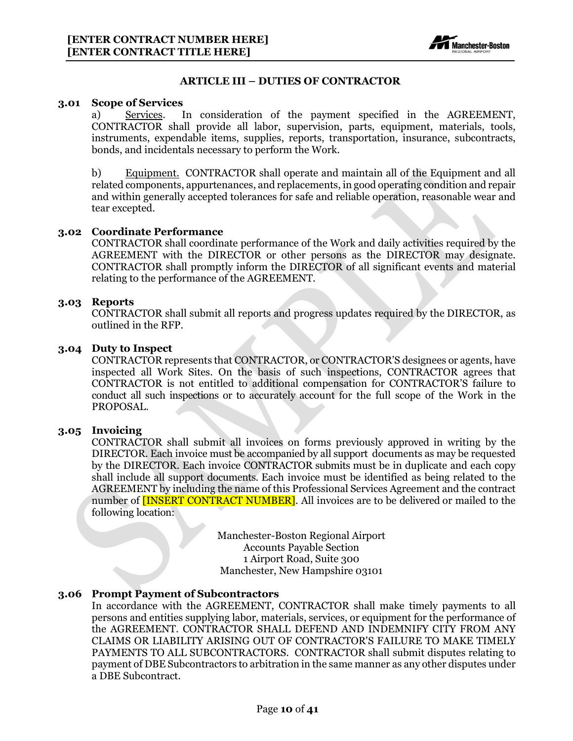

#### **ARTICLE III – DUTIES OF CONTRACTOR**

#### <span id="page-10-1"></span><span id="page-10-0"></span>**3.01 Scope of Services**

a) Services. In consideration of the payment specified in the AGREEMENT, CONTRACTOR shall provide all labor, supervision, parts, equipment, materials, tools, instruments, expendable items, supplies, reports, transportation, insurance, subcontracts, bonds, and incidentals necessary to perform the Work.

b) Equipment. CONTRACTOR shall operate and maintain all of the Equipment and all related components, appurtenances, and replacements, in good operating condition and repair and within generally accepted tolerances for safe and reliable operation, reasonable wear and tear excepted.

#### <span id="page-10-2"></span>**3.02 Coordinate Performance**

CONTRACTOR shall coordinate performance of the Work and daily activities required by the AGREEMENT with the DIRECTOR or other persons as the DIRECTOR may designate. CONTRACTOR shall promptly inform the DIRECTOR of all significant events and material relating to the performance of the AGREEMENT.

#### <span id="page-10-3"></span>**3.03 Reports**

CONTRACTOR shall submit all reports and progress updates required by the DIRECTOR, as outlined in the RFP.

#### <span id="page-10-4"></span>**3.04 Duty to Inspect**

CONTRACTOR represents that CONTRACTOR, or CONTRACTOR'S designees or agents, have inspected all Work Sites. On the basis of such inspections, CONTRACTOR agrees that CONTRACTOR is not entitled to additional compensation for CONTRACTOR'S failure to conduct all such inspections or to accurately account for the full scope of the Work in the PROPOSAL.

#### <span id="page-10-5"></span>**3.05 Invoicing**

CONTRACTOR shall submit all invoices on forms previously approved in writing by the DIRECTOR. Each invoice must be accompanied by all support documents as may be requested by the DIRECTOR. Each invoice CONTRACTOR submits must be in duplicate and each copy shall include all support documents. Each invoice must be identified as being related to the AGREEMENT by including the name of this Professional Services Agreement and the contract number of **[INSERT CONTRACT NUMBER]**. All invoices are to be delivered or mailed to the following location:

> Manchester-Boston Regional Airport Accounts Payable Section 1 Airport Road, Suite 300 Manchester, New Hampshire 03101

#### <span id="page-10-6"></span>**3.06 Prompt Payment of Subcontractors**

In accordance with the AGREEMENT, CONTRACTOR shall make timely payments to all persons and entities supplying labor, materials, services, or equipment for the performance of the AGREEMENT. CONTRACTOR SHALL DEFEND AND INDEMNIFY CITY FROM ANY CLAIMS OR LIABILITY ARISING OUT OF CONTRACTOR'S FAILURE TO MAKE TIMELY PAYMENTS TO ALL SUBCONTRACTORS. CONTRACTOR shall submit disputes relating to payment of DBE Subcontractors to arbitration in the same manner as any other disputes under a DBE Subcontract.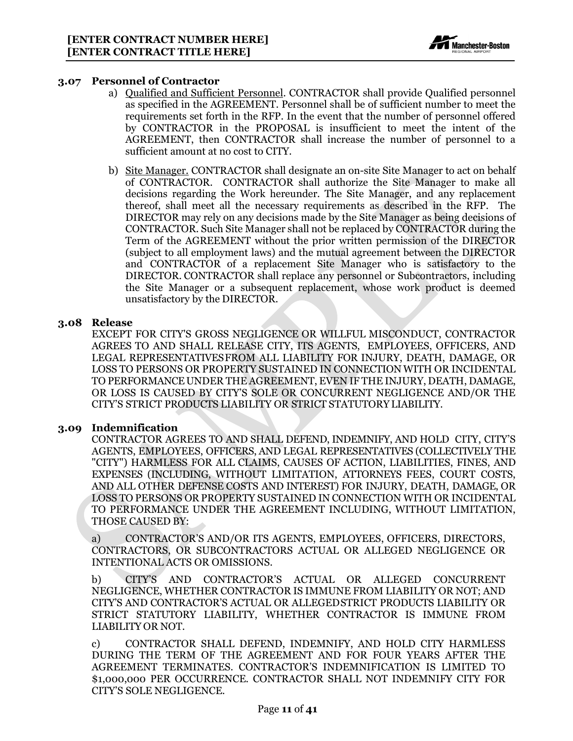

#### <span id="page-11-0"></span>**3.07 Personnel of Contractor**

- a) Qualified and Sufficient Personnel. CONTRACTOR shall provide Qualified personnel as specified in the AGREEMENT. Personnel shall be of sufficient number to meet the requirements set forth in the RFP. In the event that the number of personnel offered by CONTRACTOR in the PROPOSAL is insufficient to meet the intent of the AGREEMENT, then CONTRACTOR shall increase the number of personnel to a sufficient amount at no cost to CITY.
- b) Site Manager. CONTRACTOR shall designate an on-site Site Manager to act on behalf of CONTRACTOR. CONTRACTOR shall authorize the Site Manager to make all decisions regarding the Work hereunder. The Site Manager, and any replacement thereof, shall meet all the necessary requirements as described in the RFP. The DIRECTOR may rely on any decisions made by the Site Manager as being decisions of CONTRACTOR. Such Site Manager shall not be replaced by CONTRACTOR during the Term of the AGREEMENT without the prior written permission of the DIRECTOR (subject to all employment laws) and the mutual agreement between the DIRECTOR and CONTRACTOR of a replacement Site Manager who is satisfactory to the DIRECTOR. CONTRACTOR shall replace any personnel or Subcontractors, including the Site Manager or a subsequent replacement, whose work product is deemed unsatisfactory by the DIRECTOR.

#### <span id="page-11-1"></span>**3.08 Release**

EXCEPT FOR CITY'S GROSS NEGLIGENCE OR WILLFUL MISCONDUCT, CONTRACTOR AGREES TO AND SHALL RELEASE CITY, ITS AGENTS, EMPLOYEES, OFFICERS, AND LEGAL REPRESENTATIVESFROM ALL LIABILITY FOR INJURY, DEATH, DAMAGE, OR LOSS TO PERSONS OR PROPERTY SUSTAINED IN CONNECTION WITH OR INCIDENTAL TO PERFORMANCE UNDER THE AGREEMENT, EVEN IF THE INJURY, DEATH, DAMAGE, OR LOSS IS CAUSED BY CITY'S SOLE OR CONCURRENT NEGLIGENCE AND/OR THE CITY'S STRICT PRODUCTS LIABILITY OR STRICT STATUTORYLIABILITY.

#### <span id="page-11-2"></span>**3.09 Indemnification**

CONTRACTOR AGREES TO AND SHALL DEFEND, INDEMNIFY, AND HOLD CITY, CITY'S AGENTS, EMPLOYEES, OFFICERS, AND LEGAL REPRESENTATIVES (COLLECTIVELY THE "CITY") HARMLESS FOR ALL CLAIMS, CAUSES OF ACTION, LIABILITIES, FINES, AND EXPENSES (INCLUDING, WITHOUT LIMITATION, ATTORNEYS FEES, COURT COSTS, AND ALL OTHER DEFENSE COSTS AND INTEREST) FOR INJURY, DEATH, DAMAGE, OR LOSS TO PERSONS OR PROPERTY SUSTAINED IN CONNECTION WITH OR INCIDENTAL TO PERFORMANCE UNDER THE AGREEMENT INCLUDING, WITHOUT LIMITATION, THOSE CAUSED BY:

a) CONTRACTOR'S AND/OR ITS AGENTS, EMPLOYEES, OFFICERS, DIRECTORS, CONTRACTORS, OR SUBCONTRACTORS ACTUAL OR ALLEGED NEGLIGENCE OR INTENTIONAL ACTS OR OMISSIONS.

b) CITY'S AND CONTRACTOR'S ACTUAL OR ALLEGED CONCURRENT NEGLIGENCE, WHETHER CONTRACTOR IS IMMUNE FROM LIABILITY OR NOT; AND CITY'S AND CONTRACTOR'S ACTUAL OR ALLEGEDSTRICT PRODUCTS LIABILITY OR STRICT STATUTORY LIABILITY, WHETHER CONTRACTOR IS IMMUNE FROM LIABILITY OR NOT.

c) CONTRACTOR SHALL DEFEND, INDEMNIFY, AND HOLD CITY HARMLESS DURING THE TERM OF THE AGREEMENT AND FOR FOUR YEARS AFTER THE AGREEMENT TERMINATES. CONTRACTOR'S INDEMNIFICATION IS LIMITED TO \$1,000,000 PER OCCURRENCE. CONTRACTOR SHALL NOT INDEMNIFY CITY FOR CITY'S SOLE NEGLIGENCE.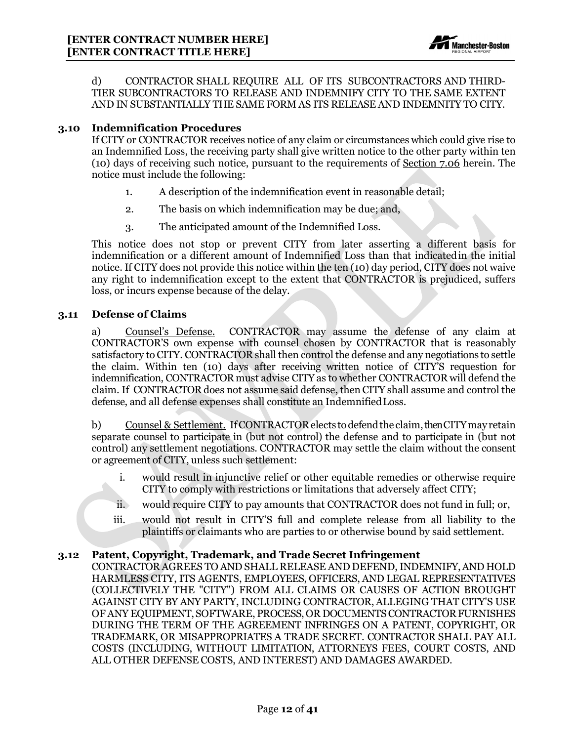

d) CONTRACTOR SHALL REQUIRE ALL OF ITS SUBCONTRACTORS AND THIRD-TIER SUBCONTRACTORS TO RELEASE AND INDEMNIFY CITY TO THE SAME EXTENT AND IN SUBSTANTIALLY THE SAME FORM AS ITS RELEASE AND INDEMNITY TO CITY.

#### <span id="page-12-0"></span>**3.10 Indemnification Procedures**

If CITY or CONTRACTOR receives notice of any claim or circumstances which could give rise to an Indemnified Loss, the receiving party shall give written notice to the other party within ten (10) days of receiving such notice, pursuant to the requirements of Section 7.06 herein. The notice must include the following:

- 1. A description of the indemnification event in reasonable detail;
- 2. The basis on which indemnification may be due; and,
- 3. The anticipated amount of the Indemnified Loss.

This notice does not stop or prevent CITY from later asserting a different basis for indemnification or a different amount of Indemnified Loss than that indicatedin the initial notice. If CITY does not provide this notice within the ten (10) day period, CITY does not waive any right to indemnification except to the extent that CONTRACTOR is prejudiced, suffers loss, or incurs expense because of the delay.

#### <span id="page-12-1"></span>**3.11 Defense of Claims**

a) Counsel's Defense. CONTRACTOR may assume the defense of any claim at CONTRACTOR'S own expense with counsel chosen by CONTRACTOR that is reasonably satisfactory to CITY. CONTRACTOR shall then control the defense and any negotiations to settle the claim. Within ten (10) days after receiving written notice of CITY'S requestion for indemnification, CONTRACTOR must advise CITY as to whether CONTRACTOR will defend the claim. If CONTRACTOR does not assume said defense, then CITY shall assume and control the defense, and all defense expenses shall constitute an IndemnifiedLoss.

b) Counsel & Settlement. If CONTRACTOR elects to defend the claim, then CITY may retain separate counsel to participate in (but not control) the defense and to participate in (but not control) any settlement negotiations. CONTRACTOR may settle the claim without the consent or agreement of CITY, unless such settlement:

- i. would result in injunctive relief or other equitable remedies or otherwise require CITY to comply with restrictions or limitations that adversely affect CITY;
- ii. would require CITY to pay amounts that CONTRACTOR does not fund in full; or,
- iii. would not result in CITY'S full and complete release from all liability to the plaintiffs or claimants who are parties to or otherwise bound by said settlement.

#### <span id="page-12-2"></span>**3.12 Patent, Copyright, Trademark, and Trade Secret Infringement**

CONTRACTOR AGREES TO AND SHALL RELEASE AND DEFEND, INDEMNIFY, AND HOLD HARMLESS CITY, ITS AGENTS, EMPLOYEES, OFFICERS, AND LEGAL REPRESENTATIVES (COLLECTIVELY THE "CITY") FROM ALL CLAIMS OR CAUSES OF ACTION BROUGHT AGAINST CITY BY ANY PARTY, INCLUDING CONTRACTOR, ALLEGING THAT CITY'S USE OF ANY EQUIPMENT, SOFTWARE, PROCESS, OR DOCUMENTS CONTRACTOR FURNISHES DURING THE TERM OF THE AGREEMENT INFRINGES ON A PATENT, COPYRIGHT, OR TRADEMARK, OR MISAPPROPRIATES A TRADE SECRET. CONTRACTOR SHALL PAY ALL COSTS (INCLUDING, WITHOUT LIMITATION, ATTORNEYS FEES, COURT COSTS, AND ALL OTHER DEFENSE COSTS, AND INTEREST) AND DAMAGES AWARDED.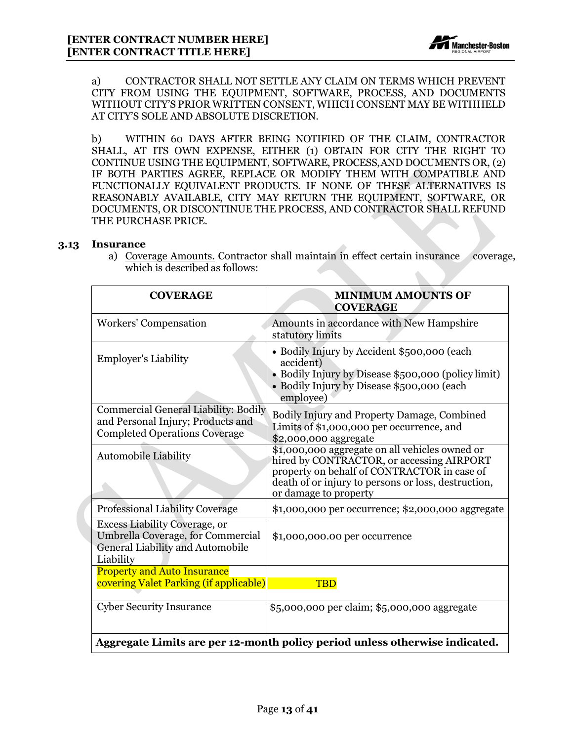

a) CONTRACTOR SHALL NOT SETTLE ANY CLAIM ON TERMS WHICH PREVENT CITY FROM USING THE EQUIPMENT, SOFTWARE, PROCESS, AND DOCUMENTS WITHOUT CITY'S PRIOR WRITTEN CONSENT, WHICH CONSENT MAY BE WITHHELD AT CITY'S SOLE AND ABSOLUTE DISCRETION.

b) WITHIN 60 DAYS AFTER BEING NOTIFIED OF THE CLAIM, CONTRACTOR SHALL, AT ITS OWN EXPENSE, EITHER (1) OBTAIN FOR CITY THE RIGHT TO CONTINUE USING THE EQUIPMENT, SOFTWARE, PROCESS,AND DOCUMENTS OR, (2) IF BOTH PARTIES AGREE, REPLACE OR MODIFY THEM WITH COMPATIBLE AND FUNCTIONALLY EQUIVALENT PRODUCTS. IF NONE OF THESE ALTERNATIVES IS REASONABLY AVAILABLE, CITY MAY RETURN THE EQUIPMENT, SOFTWARE, OR DOCUMENTS, OR DISCONTINUE THE PROCESS, AND CONTRACTOR SHALL REFUND THE PURCHASE PRICE.

#### <span id="page-13-0"></span>**3.13 Insurance**

a) Coverage Amounts. Contractor shall maintain in effect certain insurance coverage, which is described as follows:

| <b>COVERAGE</b>                                                                                                            | <b>MINIMUM AMOUNTS OF</b><br><b>COVERAGE</b>                                                                                                                                                                               |  |
|----------------------------------------------------------------------------------------------------------------------------|----------------------------------------------------------------------------------------------------------------------------------------------------------------------------------------------------------------------------|--|
| <b>Workers' Compensation</b>                                                                                               | Amounts in accordance with New Hampshire<br>statutory limits                                                                                                                                                               |  |
| <b>Employer's Liability</b>                                                                                                | • Bodily Injury by Accident \$500,000 (each<br>accident)<br>• Bodily Injury by Disease \$500,000 (policy limit)<br>• Bodily Injury by Disease \$500,000 (each<br>employee)                                                 |  |
| <b>Commercial General Liability: Bodily</b><br>and Personal Injury; Products and<br><b>Completed Operations Coverage</b>   | Bodily Injury and Property Damage, Combined<br>Limits of \$1,000,000 per occurrence, and<br>\$2,000,000 aggregate                                                                                                          |  |
| <b>Automobile Liability</b>                                                                                                | \$1,000,000 aggregate on all vehicles owned or<br>hired by CONTRACTOR, or accessing AIRPORT<br>property on behalf of CONTRACTOR in case of<br>death of or injury to persons or loss, destruction,<br>or damage to property |  |
| <b>Professional Liability Coverage</b>                                                                                     | \$1,000,000 per occurrence; \$2,000,000 aggregate                                                                                                                                                                          |  |
| <b>Excess Liability Coverage, or</b><br>Umbrella Coverage, for Commercial<br>General Liability and Automobile<br>Liability | \$1,000,000.00 per occurrence                                                                                                                                                                                              |  |
| <b>Property and Auto Insurance</b><br>covering Valet Parking (if applicable)                                               | <b>TBD</b>                                                                                                                                                                                                                 |  |
| <b>Cyber Security Insurance</b>                                                                                            | \$5,000,000 per claim; \$5,000,000 aggregate                                                                                                                                                                               |  |
| Aggregate Limits are per 12-month policy period unless otherwise indicated.                                                |                                                                                                                                                                                                                            |  |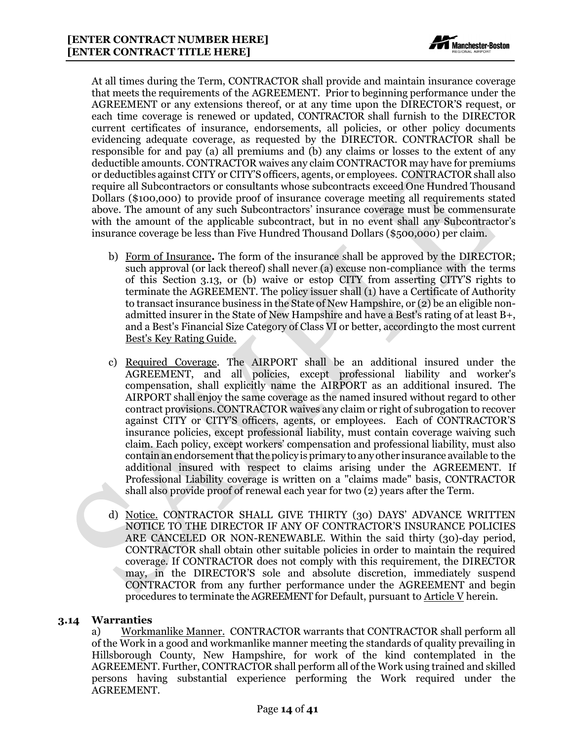

At all times during the Term, CONTRACTOR shall provide and maintain insurance coverage that meets the requirements of the AGREEMENT. Prior to beginning performance under the AGREEMENT or any extensions thereof, or at any time upon the DIRECTOR'S request, or each time coverage is renewed or updated, CONTRACTOR shall furnish to the DIRECTOR current certificates of insurance, endorsements, all policies, or other policy documents evidencing adequate coverage, as requested by the DIRECTOR. CONTRACTOR shall be responsible for and pay (a) all premiums and (b) any claims or losses to the extent of any deductible amounts. CONTRACTOR waives any claim CONTRACTOR may have for premiums or deductibles against CITY or CITY'S officers, agents, or employees. CONTRACTOR shall also require all Subcontractors or consultants whose subcontracts exceed One Hundred Thousand Dollars (\$100,000) to provide proof of insurance coverage meeting all requirements stated above. The amount of any such Subcontractors' insurance coverage must be commensurate with the amount of the applicable subcontract, but in no event shall any Subcontractor's insurance coverage be less than Five Hundred Thousand Dollars (\$500,000) per claim.

- b) Form of Insurance**.** The form of the insurance shall be approved by the DIRECTOR; such approval (or lack thereof) shall never (a) excuse non-compliance with the terms of this Section 3.13, or (b) waive or estop CITY from asserting CITY'S rights to terminate the AGREEMENT. The policy issuer shall (1) have a Certificate of Authority to transact insurance business in the State of New Hampshire, or (2) be an eligible nonadmitted insurer in the State of New Hampshire and have a Best's rating of at least B+, and a Best's Financial Size Category of Class VI or better, accordingto the most current Best's Key Rating Guide.
- c) Required Coverage. The AIRPORT shall be an additional insured under the AGREEMENT, and all policies, except professional liability and worker's compensation, shall explicitly name the AIRPORT as an additional insured. The AIRPORT shall enjoy the same coverage as the named insured without regard to other contract provisions. CONTRACTOR waives any claim or right of subrogation to recover against CITY or CITY'S officers, agents, or employees. Each of CONTRACTOR'S insurance policies, except professional liability, must contain coverage waiving such claim. Each policy, except workers' compensation and professional liability, must also containan endorsementthatthe policy is primary to anyother insurance available to the additional insured with respect to claims arising under the AGREEMENT. If Professional Liability coverage is written on a "claims made" basis, CONTRACTOR shall also provide proof of renewal each year for two (2) years after the Term.
- d) Notice. CONTRACTOR SHALL GIVE THIRTY (30) DAYS' ADVANCE WRITTEN NOTICE TO THE DIRECTOR IF ANY OF CONTRACTOR'S INSURANCE POLICIES ARE CANCELED OR NON-RENEWABLE. Within the said thirty (30)-day period, CONTRACTOR shall obtain other suitable policies in order to maintain the required coverage. If CONTRACTOR does not comply with this requirement, the DIRECTOR may, in the DIRECTOR'S sole and absolute discretion, immediately suspend CONTRACTOR from any further performance under the AGREEMENT and begin procedures to terminate the AGREEMENT for Default, pursuant to  $\Delta$ rticle V herein.

#### <span id="page-14-0"></span>**3.14 Warranties**

a) Workmanlike Manner. CONTRACTOR warrants that CONTRACTOR shall perform all of the Work in a good and workmanlike manner meeting the standards of quality prevailing in Hillsborough County, New Hampshire, for work of the kind contemplated in the AGREEMENT. Further, CONTRACTOR shall perform all of the Work using trained and skilled persons having substantial experience performing the Work required under the AGREEMENT.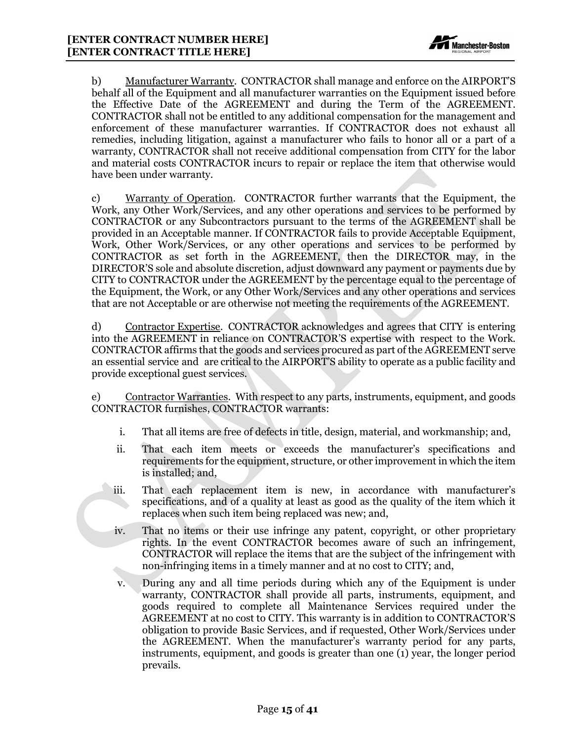

b) Manufacturer Warranty. CONTRACTOR shall manage and enforce on the AIRPORT'S behalf all of the Equipment and all manufacturer warranties on the Equipment issued before the Effective Date of the AGREEMENT and during the Term of the AGREEMENT. CONTRACTOR shall not be entitled to any additional compensation for the management and enforcement of these manufacturer warranties. If CONTRACTOR does not exhaust all remedies, including litigation, against a manufacturer who fails to honor all or a part of a warranty, CONTRACTOR shall not receive additional compensation from CITY for the labor and material costs CONTRACTOR incurs to repair or replace the item that otherwise would have been under warranty.

c) Warranty of Operation. CONTRACTOR further warrants that the Equipment, the Work, any Other Work/Services, and any other operations and services to be performed by CONTRACTOR or any Subcontractors pursuant to the terms of the AGREEMENT shall be provided in an Acceptable manner. If CONTRACTOR fails to provide Acceptable Equipment, Work, Other Work/Services, or any other operations and services to be performed by CONTRACTOR as set forth in the AGREEMENT, then the DIRECTOR may, in the DIRECTOR'S sole and absolute discretion, adjust downward any payment or payments due by CITY to CONTRACTOR under the AGREEMENT by the percentage equal to the percentage of the Equipment, the Work, or any Other Work/Services and any other operations and services that are not Acceptable or are otherwise not meeting the requirements of the AGREEMENT.

d) Contractor Expertise. CONTRACTOR acknowledges and agrees that CITY is entering into the AGREEMENT in reliance on CONTRACTOR'S expertise with respect to the Work. CONTRACTOR affirms that the goods and services procured as part of the AGREEMENT serve an essential service and are critical to the AIRPORT'S ability to operate as a public facility and provide exceptional guest services.

e) Contractor Warranties. With respect to any parts, instruments, equipment, and goods CONTRACTOR furnishes, CONTRACTOR warrants:

- i. That all items are free of defects in title, design, material, and workmanship; and,
- ii. That each item meets or exceeds the manufacturer's specifications and requirements for the equipment, structure, or other improvement in which the item is installed; and,
- iii. That each replacement item is new, in accordance with manufacturer's specifications, and of a quality at least as good as the quality of the item which it replaces when such item being replaced was new; and,
- iv. That no items or their use infringe any patent, copyright, or other proprietary rights. In the event CONTRACTOR becomes aware of such an infringement, CONTRACTOR will replace the items that are the subject of the infringement with non-infringing items in a timely manner and at no cost to CITY; and,
- v. During any and all time periods during which any of the Equipment is under warranty, CONTRACTOR shall provide all parts, instruments, equipment, and goods required to complete all Maintenance Services required under the AGREEMENT at no cost to CITY. This warranty is in addition to CONTRACTOR'S obligation to provide Basic Services, and if requested, Other Work/Services under the AGREEMENT. When the manufacturer's warranty period for any parts, instruments, equipment, and goods is greater than one (1) year, the longer period prevails.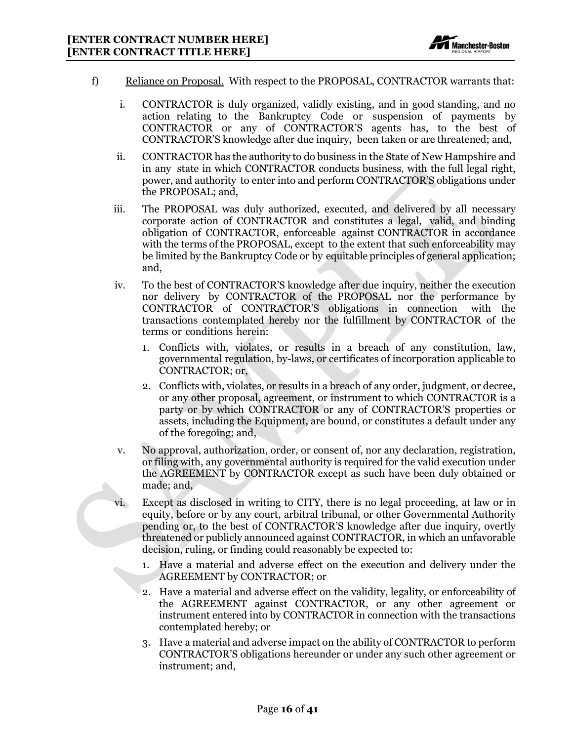

- f) Reliance on Proposal. With respect to the PROPOSAL, CONTRACTOR warrants that:
	- i. CONTRACTOR is duly organized, validly existing, and in good standing, and no action relating to the Bankruptcy Code or suspension of payments by CONTRACTOR or any of CONTRACTOR'S agents has, to the best of CONTRACTOR'S knowledge after due inquiry, been taken or are threatened; and,
	- ii. CONTRACTOR has the authority to do business in the State of New Hampshire and in any state in which CONTRACTOR conducts business, with the full legal right, power, and authority to enter into and perform CONTRACTOR'S obligations under the PROPOSAL; and,
	- iii. The PROPOSAL was duly authorized, executed, and delivered by all necessary corporate action of CONTRACTOR and constitutes a legal, valid, and binding obligation of CONTRACTOR, enforceable against CONTRACTOR in accordance with the terms of the PROPOSAL, except to the extent that such enforceability may be limited by the Bankruptcy Code or by equitable principles of general application; and,
	- iv. To the best of CONTRACTOR'S knowledge after due inquiry, neither the execution nor delivery by CONTRACTOR of the PROPOSAL nor the performance by CONTRACTOR of CONTRACTOR'S obligations in connection with the transactions contemplated hereby nor the fulfillment by CONTRACTOR of the terms or conditions herein:
		- 1. Conflicts with, violates, or results in a breach of any constitution, law, governmental regulation, by-laws, or certificates of incorporation applicable to CONTRACTOR; or,
		- 2. Conflicts with, violates, or results in a breach of any order, judgment, or decree, or any other proposal, agreement, or instrument to which CONTRACTOR is a party or by which CONTRACTOR or any of CONTRACTOR'S properties or assets, including the Equipment, are bound, or constitutes a default under any of the foregoing; and,
	- v. No approval, authorization, order, or consent of, nor any declaration, registration, or filing with, any governmental authority is required for the valid execution under the AGREEMENT by CONTRACTOR except as such have been duly obtained or made; and,
	- vi. Except as disclosed in writing to CITY, there is no legal proceeding, at law or in equity, before or by any court, arbitral tribunal, or other Governmental Authority pending or, to the best of CONTRACTOR'S knowledge after due inquiry, overtly threatened or publicly announced against CONTRACTOR, in which an unfavorable decision, ruling, or finding could reasonably be expected to:
		- 1. Have a material and adverse effect on the execution and delivery under the AGREEMENT by CONTRACTOR; or
		- 2. Have a material and adverse effect on the validity, legality, or enforceability of the AGREEMENT against CONTRACTOR, or any other agreement or instrument entered into by CONTRACTOR in connection with the transactions contemplated hereby; or
		- 3. Have a material and adverse impact on the ability of CONTRACTOR to perform CONTRACTOR'S obligations hereunder or under any such other agreement or instrument; and,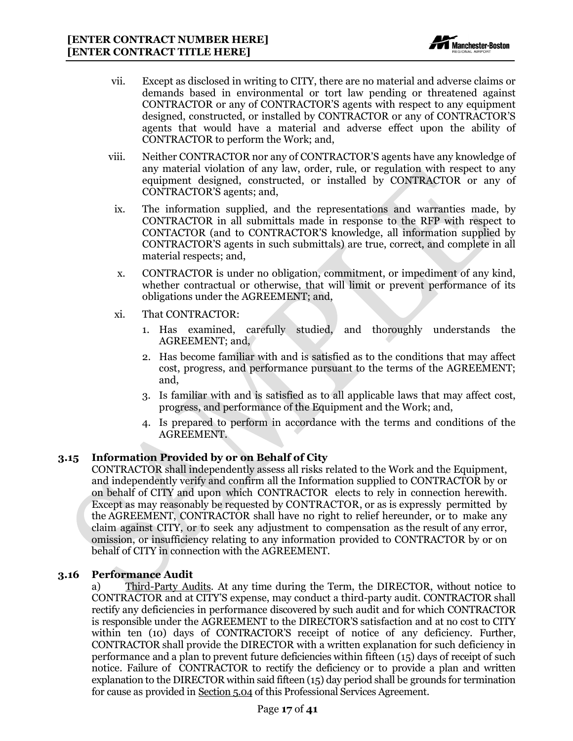

- vii. Except as disclosed in writing to CITY, there are no material and adverse claims or demands based in environmental or tort law pending or threatened against CONTRACTOR or any of CONTRACTOR'S agents with respect to any equipment designed, constructed, or installed by CONTRACTOR or any of CONTRACTOR'S agents that would have a material and adverse effect upon the ability of CONTRACTOR to perform the Work; and,
- viii. Neither CONTRACTOR nor any of CONTRACTOR'S agents have any knowledge of any material violation of any law, order, rule, or regulation with respect to any equipment designed, constructed, or installed by CONTRACTOR or any of CONTRACTOR'S agents; and,
	- ix. The information supplied, and the representations and warranties made, by CONTRACTOR in all submittals made in response to the RFP with respect to CONTACTOR (and to CONTRACTOR'S knowledge, all information supplied by CONTRACTOR'S agents in such submittals) are true, correct, and complete in all material respects; and,
	- x. CONTRACTOR is under no obligation, commitment, or impediment of any kind, whether contractual or otherwise, that will limit or prevent performance of its obligations under the AGREEMENT; and,
	- xi. That CONTRACTOR:
		- 1. Has examined, carefully studied, and thoroughly understands the AGREEMENT; and,
		- 2. Has become familiar with and is satisfied as to the conditions that may affect cost, progress, and performance pursuant to the terms of the AGREEMENT; and,
		- 3. Is familiar with and is satisfied as to all applicable laws that may affect cost, progress, and performance of the Equipment and the Work; and,
		- 4. Is prepared to perform in accordance with the terms and conditions of the AGREEMENT.

#### <span id="page-17-0"></span>**3.15 Information Provided by or on Behalf of City**

CONTRACTOR shall independently assess all risks related to the Work and the Equipment, and independently verify and confirm all the Information supplied to CONTRACTOR by or on behalf of CITY and upon which CONTRACTOR elects to rely in connection herewith. Except as may reasonably be requested by CONTRACTOR, or as is expressly permitted by the AGREEMENT, CONTRACTOR shall have no right to relief hereunder, or to make any claim against CITY, or to seek any adjustment to compensation as the result of any error, omission, or insufficiency relating to any information provided to CONTRACTOR by or on behalf of CITY in connection with the AGREEMENT.

#### <span id="page-17-1"></span>**3.16 Performance Audit**

a) Third-Party Audits. At any time during the Term, the DIRECTOR, without notice to CONTRACTOR and at CITY'S expense, may conduct a third-party audit. CONTRACTOR shall rectify any deficiencies in performance discovered by such audit and for which CONTRACTOR is responsible under the AGREEMENT to the DIRECTOR'S satisfaction and at no cost to CITY within ten (10) days of CONTRACTOR'S receipt of notice of any deficiency. Further, CONTRACTOR shall provide the DIRECTOR with a written explanation for such deficiency in performance and a plan to prevent future deficiencies within fifteen (15) days of receipt of such notice. Failure of CONTRACTOR to rectify the deficiency or to provide a plan and written explanation to the DIRECTOR within said fifteen (15) day period shall be grounds for termination for cause as provided in Section 5.04 of this Professional Services Agreement.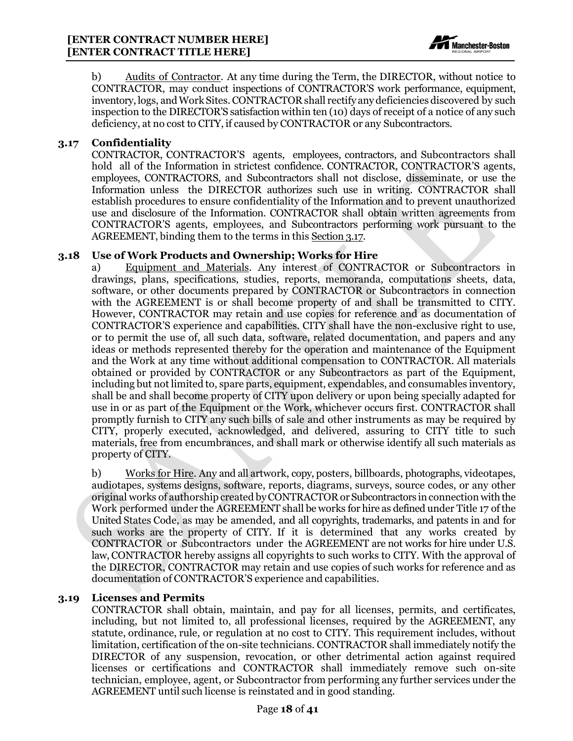

b) Audits of Contractor. At any time during the Term, the DIRECTOR, without notice to CONTRACTOR, may conduct inspections of CONTRACTOR'S work performance, equipment, inventory, logs, andWork Sites.CONTRACTOR shall rectify any deficiencies discovered by such inspection to the DIRECTOR'S satisfaction within ten (10) days of receipt of a notice of any such deficiency, at no cost to CITY, if caused by CONTRACTOR or any Subcontractors.

#### <span id="page-18-0"></span>**3.17 Confidentiality**

CONTRACTOR, CONTRACTOR'S agents, employees, contractors, and Subcontractors shall hold all of the Information in strictest confidence. CONTRACTOR, CONTRACTOR'S agents, employees, CONTRACTORS, and Subcontractors shall not disclose, disseminate, or use the Information unless the DIRECTOR authorizes such use in writing. CONTRACTOR shall establish procedures to ensure confidentiality of the Information and to prevent unauthorized use and disclosure of the Information. CONTRACTOR shall obtain written agreements from CONTRACTOR'S agents, employees, and Subcontractors performing work pursuant to the AGREEMENT, binding them to the terms in this Section 3.17.

#### <span id="page-18-1"></span>**3.18 Use of Work Products and Ownership; Works for Hire**

a) Equipment and Materials. Any interest of CONTRACTOR or Subcontractors in drawings, plans, specifications, studies, reports, memoranda, computations sheets, data, software, or other documents prepared by CONTRACTOR or Subcontractors in connection with the AGREEMENT is or shall become property of and shall be transmitted to CITY. However, CONTRACTOR may retain and use copies for reference and as documentation of CONTRACTOR'S experience and capabilities. CITY shall have the non-exclusive right to use, or to permit the use of, all such data, software, related documentation, and papers and any ideas or methods represented thereby for the operation and maintenance of the Equipment and the Work at any time without additional compensation to CONTRACTOR. All materials obtained or provided by CONTRACTOR or any Subcontractors as part of the Equipment, including but not limited to, spare parts, equipment, expendables, and consumables inventory, shall be and shall become property of CITY upon delivery or upon being specially adapted for use in or as part of the Equipment or the Work, whichever occurs first. CONTRACTOR shall promptly furnish to CITY any such bills of sale and other instruments as may be required by CITY, properly executed, acknowledged, and delivered, assuring to CITY title to such materials, free from encumbrances, and shall mark or otherwise identify all such materials as property of CITY.

b) Works for Hire. Any and all artwork, copy, posters, billboards, photographs, videotapes, audiotapes, systems designs, software, reports, diagrams, surveys, source codes, or any other original works of authorship created byCONTRACTOR or Subcontractors in connection withthe Work performed under the AGREEMENT shall be works for hire as defined under Title 17 of the United States Code, as may be amended, and all copyrights, trademarks, and patents in and for such works are the property of CITY. If it is determined that any works created by CONTRACTOR or Subcontractors under the AGREEMENT are not works for hire under U.S. law, CONTRACTOR hereby assigns all copyrights to such works to CITY. With the approval of the DIRECTOR, CONTRACTOR may retain and use copies of such works for reference and as documentation of CONTRACTOR'S experience and capabilities.

#### <span id="page-18-2"></span>**3.19 Licenses and Permits**

CONTRACTOR shall obtain, maintain, and pay for all licenses, permits, and certificates, including, but not limited to, all professional licenses, required by the AGREEMENT, any statute, ordinance, rule, or regulation at no cost to CITY. This requirement includes, without limitation, certification of the on-site technicians. CONTRACTOR shall immediately notify the DIRECTOR of any suspension, revocation, or other detrimental action against required licenses or certifications and CONTRACTOR shall immediately remove such on-site technician, employee, agent, or Subcontractor from performing any further services under the AGREEMENT until such license is reinstated and in good standing.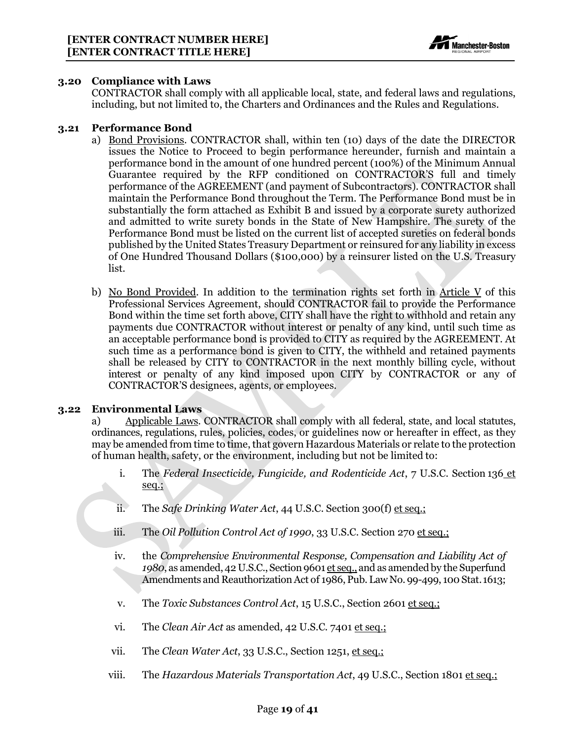

#### <span id="page-19-0"></span>**3.20 Compliance with Laws**

CONTRACTOR shall comply with all applicable local, state, and federal laws and regulations, including, but not limited to, the Charters and Ordinances and the Rules and Regulations.

#### <span id="page-19-1"></span>**3.21 Performance Bond**

- a) Bond Provisions. CONTRACTOR shall, within ten (10) days of the date the DIRECTOR issues the Notice to Proceed to begin performance hereunder, furnish and maintain a performance bond in the amount of one hundred percent (100%) of the Minimum Annual Guarantee required by the RFP conditioned on CONTRACTOR'S full and timely performance of the AGREEMENT (and payment of Subcontractors). CONTRACTOR shall maintain the Performance Bond throughout the Term. The Performance Bond must be in substantially the form attached as Exhibit B and issued by a corporate surety authorized and admitted to write surety bonds in the State of New Hampshire. The surety of the Performance Bond must be listed on the current list of accepted sureties on federal bonds published by the United States Treasury Department or reinsured for any liability in excess of One Hundred Thousand Dollars (\$100,000) by a reinsurer listed on the U.S. Treasury list.
- b) No Bond Provided. In addition to the termination rights set forth in Article V of this Professional Services Agreement, should CONTRACTOR fail to provide the Performance Bond within the time set forth above, CITY shall have the right to withhold and retain any payments due CONTRACTOR without interest or penalty of any kind, until such time as an acceptable performance bond is provided to CITY as required by the AGREEMENT. At such time as a performance bond is given to CITY, the withheld and retained payments shall be released by CITY to CONTRACTOR in the next monthly billing cycle, without interest or penalty of any kind imposed upon CITY by CONTRACTOR or any of CONTRACTOR'S designees, agents, or employees.

#### <span id="page-19-2"></span>**3.22 Environmental Laws**

a) Applicable Laws. CONTRACTOR shall comply with all federal, state, and local statutes, ordinances, regulations, rules, policies, codes, or guidelines now or hereafter in effect, as they may be amended from time to time, that govern Hazardous Materials or relate to the protection of human health, safety, or the environment, including but not be limited to:

- i. The *Federal Insecticide, Fungicide, and Rodenticide Act*, 7 U.S.C. Section 136 et seq.;
- ii. The *Safe Drinking Water Act*, 44 U.S.C. Section 300(f) et seq.;
- iii. The *Oil Pollution Control Act of 1990*, 33 U.S.C. Section 270 et seq.;
- iv. the *Comprehensive Environmental Response, Compensation and Liability Act of 1980*, as amended, 42 U.S.C., Section 9601 et seq., and as amended by the Superfund Amendments and Reauthorization Act of 1986, Pub. Law No. 99-499, 100 Stat. 1613;
- v. The *Toxic Substances Control Act*, 15 U.S.C., Section 2601 et seq.;
- vi. The *Clean Air Act* as amended, 42 U.S.C. 7401 et seq.;
- vii. The *Clean Water Act*, 33 U.S.C., Section 1251, et seq.;
- viii. The *Hazardous Materials Transportation Act*, 49 U.S.C., Section 1801 et seq.;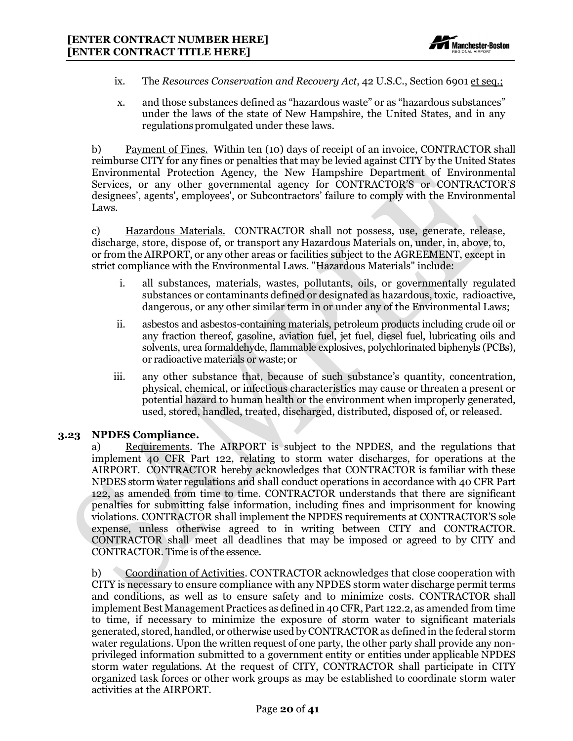

- ix. The *Resources Conservation and Recovery Act*, 42 U.S.C., Section 6901 et seq.;
- x. and those substances defined as "hazardous waste" or as "hazardous substances" under the laws of the state of New Hampshire, the United States, and in any regulationspromulgated under these laws.

b) Payment of Fines. Within ten (10) days of receipt of an invoice, CONTRACTOR shall reimburse CITY for any fines or penalties that may be levied against CITY by the United States Environmental Protection Agency, the New Hampshire Department of Environmental Services, or any other governmental agency for CONTRACTOR'S or CONTRACTOR'S designees', agents', employees', or Subcontractors' failure to comply with the Environmental Laws.

c) Hazardous Materials. CONTRACTOR shall not possess, use, generate, release, discharge, store, dispose of, or transport any Hazardous Materials on, under, in, above, to, or from the AIRPORT, or any other areas or facilities subject to the AGREEMENT, except in strict compliance with the Environmental Laws. "Hazardous Materials" include:

- i. all substances, materials, wastes, pollutants, oils, or governmentally regulated substances or contaminants defined or designated as hazardous, toxic, radioactive, dangerous, or any other similar term in or under any of the Environmental Laws;
- ii. asbestos and asbestos-containing materials, petroleum products including crude oil or any fraction thereof, gasoline, aviation fuel, jet fuel, diesel fuel, lubricating oils and solvents, urea formaldehyde, flammable explosives, polychlorinated biphenyls (PCBs), or radioactive materials or waste;or
- iii. any other substance that, because of such substance's quantity, concentration, physical, chemical, or infectious characteristics may cause or threaten a present or potential hazard to human health or the environment when improperly generated, used, stored, handled, treated, discharged, distributed, disposed of, or released.

#### <span id="page-20-0"></span>**3.23 NPDES Compliance.**

a) Requirements. The AIRPORT is subject to the NPDES, and the regulations that implement 40 CFR Part 122, relating to storm water discharges, for operations at the AIRPORT. CONTRACTOR hereby acknowledges that CONTRACTOR is familiar with these NPDES storm water regulations and shall conduct operations in accordance with 40 CFR Part 122, as amended from time to time. CONTRACTOR understands that there are significant penalties for submitting false information, including fines and imprisonment for knowing violations. CONTRACTOR shall implement the NPDES requirements at CONTRACTOR'S sole expense, unless otherwise agreed to in writing between CITY and CONTRACTOR. CONTRACTOR shall meet all deadlines that may be imposed or agreed to by CITY and CONTRACTOR. Time is of the essence.

b) Coordination of Activities. CONTRACTOR acknowledges that close cooperation with CITY is necessary to ensure compliance with any NPDES storm water discharge permit terms and conditions, as well as to ensure safety and to minimize costs. CONTRACTOR shall implement Best Management Practices as defined in 40CFR, Part 122.2, as amended from time to time, if necessary to minimize the exposure of storm water to significant materials generated, stored, handled, or otherwise used byCONTRACTOR as defined in the federal storm water regulations. Upon the written request of one party, the other party shall provide any nonprivileged information submitted to a government entity or entities under applicable NPDES storm water regulations. At the request of CITY, CONTRACTOR shall participate in CITY organized task forces or other work groups as may be established to coordinate storm water activities at the AIRPORT.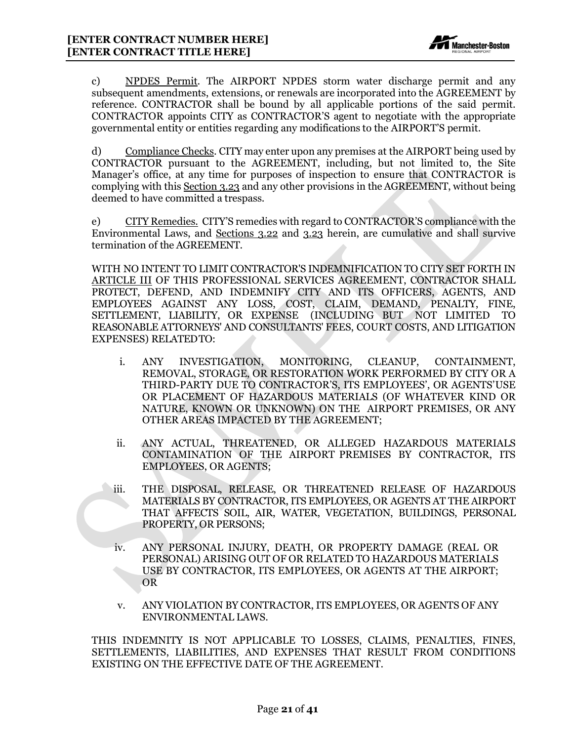

c) NPDES Permit. The AIRPORT NPDES storm water discharge permit and any subsequent amendments, extensions, or renewals are incorporated into the AGREEMENT by reference. CONTRACTOR shall be bound by all applicable portions of the said permit. CONTRACTOR appoints CITY as CONTRACTOR'S agent to negotiate with the appropriate governmental entity or entities regarding any modifications to the AIRPORT'S permit.

d) Compliance Checks. CITY may enter upon any premises at the AIRPORT being used by CONTRACTOR pursuant to the AGREEMENT, including, but not limited to, the Site Manager's office, at any time for purposes of inspection to ensure that CONTRACTOR is complying with this Section 3.23 and any other provisions in the AGREEMENT, without being deemed to have committed a trespass.

e) CITY Remedies. CITY'S remedies with regard to CONTRACTOR'S compliance with the Environmental Laws, and Sections 3.22 and 3.23 herein, are cumulative and shall survive termination of the AGREEMENT.

WITH NO INTENT TO LIMIT CONTRACTOR'S INDEMNIFICATION TO CITY SET FORTH IN ARTICLE III OF THIS PROFESSIONAL SERVICES AGREEMENT, CONTRACTOR SHALL PROTECT, DEFEND, AND INDEMNIFY CITY AND ITS OFFICERS, AGENTS, AND EMPLOYEES AGAINST ANY LOSS, COST, CLAIM, DEMAND, PENALTY, FINE, SETTLEMENT, LIABILITY, OR EXPENSE (INCLUDING BUT NOT LIMITED TO REASONABLE ATTORNEYS' AND CONSULTANTS' FEES, COURT COSTS, AND LITIGATION EXPENSES) RELATEDTO:

- i. ANY INVESTIGATION, MONITORING, CLEANUP, CONTAINMENT, REMOVAL, STORAGE, OR RESTORATION WORK PERFORMED BY CITY OR A THIRD-PARTY DUE TO CONTRACTOR'S, ITS EMPLOYEES', OR AGENTS'USE OR PLACEMENT OF HAZARDOUS MATERIALS (OF WHATEVER KIND OR NATURE, KNOWN OR UNKNOWN) ON THE AIRPORT PREMISES, OR ANY OTHER AREAS IMPACTED BY THE AGREEMENT;
- ii. ANY ACTUAL, THREATENED, OR ALLEGED HAZARDOUS MATERIALS CONTAMINATION OF THE AIRPORT PREMISES BY CONTRACTOR, ITS EMPLOYEES, OR AGENTS;
- iii. THE DISPOSAL, RELEASE, OR THREATENED RELEASE OF HAZARDOUS MATERIALS BY CONTRACTOR, ITS EMPLOYEES, OR AGENTS AT THE AIRPORT THAT AFFECTS SOIL, AIR, WATER, VEGETATION, BUILDINGS, PERSONAL PROPERTY, OR PERSONS;
- iv. ANY PERSONAL INJURY, DEATH, OR PROPERTY DAMAGE (REAL OR PERSONAL) ARISING OUT OF OR RELATED TO HAZARDOUS MATERIALS USE BY CONTRACTOR, ITS EMPLOYEES, OR AGENTS AT THE AIRPORT; OR
- v. ANY VIOLATION BY CONTRACTOR, ITS EMPLOYEES, OR AGENTS OF ANY ENVIRONMENTAL LAWS.

THIS INDEMNITY IS NOT APPLICABLE TO LOSSES, CLAIMS, PENALTIES, FINES, SETTLEMENTS, LIABILITIES, AND EXPENSES THAT RESULT FROM CONDITIONS EXISTING ON THE EFFECTIVE DATE OF THE AGREEMENT.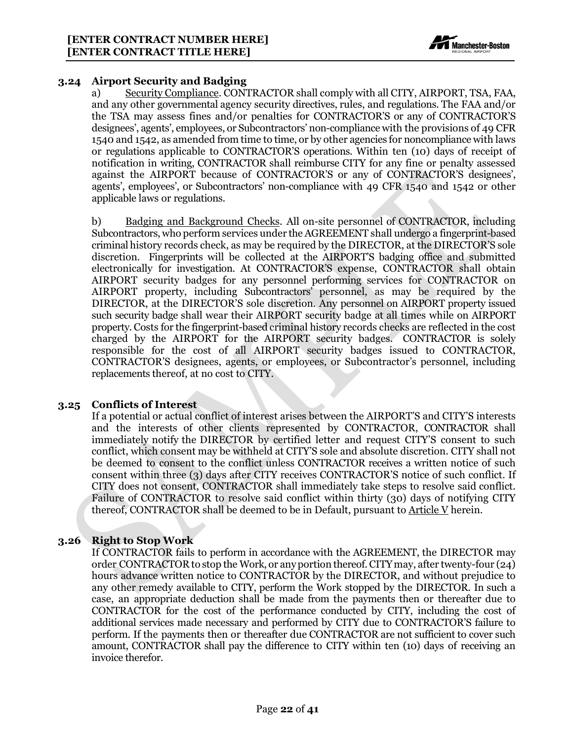

#### <span id="page-22-0"></span>**3.24 Airport Security and Badging**

a) Security Compliance. CONTRACTOR shall comply with all CITY, AIRPORT, TSA, FAA, and any other governmental agency security directives, rules, and regulations. The FAA and/or the TSA may assess fines and/or penalties for CONTRACTOR'S or any of CONTRACTOR'S designees', agents', employees, or Subcontractors' non-compliance with the provisions of 49 CFR 1540 and 1542, as amended from time to time, or by other agencies for noncompliance with laws or regulations applicable to CONTRACTOR'S operations. Within ten (10) days of receipt of notification in writing, CONTRACTOR shall reimburse CITY for any fine or penalty assessed against the AIRPORT because of CONTRACTOR'S or any of CONTRACTOR'S designees', agents', employees', or Subcontractors' non-compliance with 49 CFR 1540 and 1542 or other applicable laws or regulations.

b) Badging and Background Checks. All on-site personnel of CONTRACTOR, including Subcontractors, who perform services under the AGREEMENT shall undergo a fingerprint-based criminal history records check, as may be required by the DIRECTOR, at the DIRECTOR'S sole discretion. Fingerprints will be collected at the AIRPORT'S badging office and submitted electronically for investigation. At CONTRACTOR'S expense, CONTRACTOR shall obtain AIRPORT security badges for any personnel performing services for CONTRACTOR on AIRPORT property, including Subcontractors' personnel, as may be required by the DIRECTOR, at the DIRECTOR'S sole discretion. Any personnel on AIRPORT property issued such security badge shall wear their AIRPORT security badge at all times while on AIRPORT property. Costs for the fingerprint-based criminal history records checks are reflected in the cost charged by the AIRPORT for the AIRPORT security badges. CONTRACTOR is solely responsible for the cost of all AIRPORT security badges issued to CONTRACTOR, CONTRACTOR'S designees, agents, or employees, or Subcontractor's personnel, including replacements thereof, at no cost to CITY.

#### <span id="page-22-1"></span>**3.25 Conflicts of Interest**

If a potential or actual conflict of interest arises between the AIRPORT'S and CITY'S interests and the interests of other clients represented by CONTRACTOR, CONTRACTOR shall immediately notify the DIRECTOR by certified letter and request CITY'S consent to such conflict, which consent may be withheld at CITY'S sole and absolute discretion. CITY shall not be deemed to consent to the conflict unless CONTRACTOR receives a written notice of such consent within three (3) days after CITY receives CONTRACTOR'S notice of such conflict. If CITY does not consent, CONTRACTOR shall immediately take steps to resolve said conflict. Failure of CONTRACTOR to resolve said conflict within thirty (30) days of notifying CITY thereof, CONTRACTOR shall be deemed to be in Default, pursuant to Article V herein.

# <span id="page-22-2"></span>**3.26 Right to Stop Work**

If CONTRACTOR fails to perform in accordance with the AGREEMENT, the DIRECTOR may order CONTRACTOR to stop the Work, or anyportion thereof.CITYmay, after twenty-four (24) hours advance written notice to CONTRACTOR by the DIRECTOR, and without prejudice to any other remedy available to CITY, perform the Work stopped by the DIRECTOR. In such a case, an appropriate deduction shall be made from the payments then or thereafter due to CONTRACTOR for the cost of the performance conducted by CITY, including the cost of additional services made necessary and performed by CITY due to CONTRACTOR'S failure to perform. If the payments then or thereafter due CONTRACTOR are not sufficient to cover such amount, CONTRACTOR shall pay the difference to CITY within ten (10) days of receiving an invoice therefor.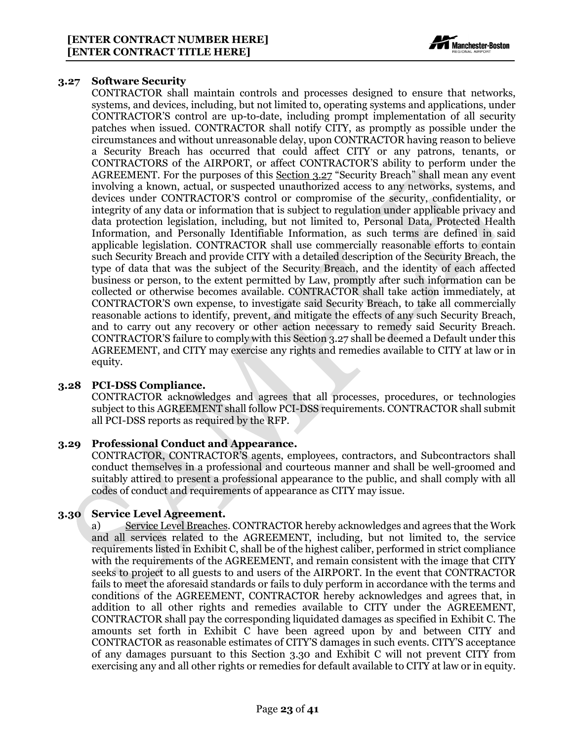

#### <span id="page-23-0"></span>**3.27 Software Security**

CONTRACTOR shall maintain controls and processes designed to ensure that networks, systems, and devices, including, but not limited to, operating systems and applications, under CONTRACTOR'S control are up-to-date, including prompt implementation of all security patches when issued. CONTRACTOR shall notify CITY, as promptly as possible under the circumstances and without unreasonable delay, upon CONTRACTOR having reason to believe a Security Breach has occurred that could affect CITY or any patrons, tenants, or CONTRACTORS of the AIRPORT, or affect CONTRACTOR'S ability to perform under the AGREEMENT. For the purposes of this Section 3.27 "Security Breach" shall mean any event involving a known, actual, or suspected unauthorized access to any networks, systems, and devices under CONTRACTOR'S control or compromise of the security, confidentiality, or integrity of any data or information that is subject to regulation under applicable privacy and data protection legislation, including, but not limited to, Personal Data, Protected Health Information, and Personally Identifiable Information, as such terms are defined in said applicable legislation. CONTRACTOR shall use commercially reasonable efforts to contain such Security Breach and provide CITY with a detailed description of the Security Breach, the type of data that was the subject of the Security Breach, and the identity of each affected business or person, to the extent permitted by Law, promptly after such information can be collected or otherwise becomes available. CONTRACTOR shall take action immediately, at CONTRACTOR'S own expense, to investigate said Security Breach, to take all commercially reasonable actions to identify, prevent, and mitigate the effects of any such Security Breach, and to carry out any recovery or other action necessary to remedy said Security Breach. CONTRACTOR'S failure to comply with this Section 3.27 shall be deemed a Default under this AGREEMENT, and CITY may exercise any rights and remedies available to CITY at law or in equity.

#### <span id="page-23-1"></span>**3.28 PCI-DSS Compliance.**

CONTRACTOR acknowledges and agrees that all processes, procedures, or technologies subject to this AGREEMENT shall follow PCI-DSS requirements. CONTRACTOR shall submit all PCI-DSS reports as required by the RFP.

#### <span id="page-23-2"></span>**3.29 Professional Conduct and Appearance.**

CONTRACTOR, CONTRACTOR'S agents, employees, contractors, and Subcontractors shall conduct themselves in a professional and courteous manner and shall be well-groomed and suitably attired to present a professional appearance to the public, and shall comply with all codes of conduct and requirements of appearance as CITY may issue.

#### <span id="page-23-3"></span>**3.30 Service Level Agreement.**

a) Service Level Breaches. CONTRACTOR hereby acknowledges and agrees that the Work and all services related to the AGREEMENT, including, but not limited to, the service requirements listed in Exhibit C, shall be of the highest caliber, performed in strict compliance with the requirements of the AGREEMENT, and remain consistent with the image that CITY seeks to project to all guests to and users of the AIRPORT. In the event that CONTRACTOR fails to meet the aforesaid standards or fails to duly perform in accordance with the terms and conditions of the AGREEMENT, CONTRACTOR hereby acknowledges and agrees that, in addition to all other rights and remedies available to CITY under the AGREEMENT, CONTRACTOR shall pay the corresponding liquidated damages as specified in Exhibit C. The amounts set forth in Exhibit C have been agreed upon by and between CITY and CONTRACTOR as reasonable estimates of CITY'S damages in such events. CITY'S acceptance of any damages pursuant to this Section 3.30 and Exhibit C will not prevent CITY from exercising any and all other rights or remedies for default available to CITY at law or in equity.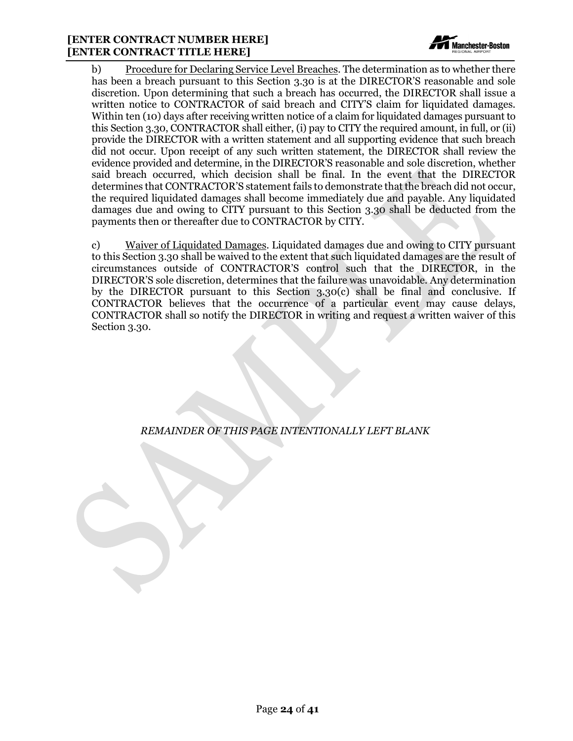#### **[ENTER CONTRACT NUMBER HERE] [ENTER CONTRACT TITLE HERE]**



b) Procedure for Declaring Service Level Breaches. The determination as to whether there has been a breach pursuant to this Section 3.30 is at the DIRECTOR'S reasonable and sole discretion. Upon determining that such a breach has occurred, the DIRECTOR shall issue a written notice to CONTRACTOR of said breach and CITY'S claim for liquidated damages. Within ten (10) days after receiving written notice of a claim for liquidated damages pursuant to this Section 3.30, CONTRACTOR shall either, (i) pay to CITY the required amount, in full, or (ii) provide the DIRECTOR with a written statement and all supporting evidence that such breach did not occur. Upon receipt of any such written statement, the DIRECTOR shall review the evidence provided and determine, in the DIRECTOR'S reasonable and sole discretion, whether said breach occurred, which decision shall be final. In the event that the DIRECTOR determines that CONTRACTOR'S statement fails to demonstrate that the breach did not occur, the required liquidated damages shall become immediately due and payable. Any liquidated damages due and owing to CITY pursuant to this Section 3.30 shall be deducted from the payments then or thereafter due to CONTRACTOR by CITY.

c) Waiver of Liquidated Damages. Liquidated damages due and owing to CITY pursuant to this Section 3.30 shall be waived to the extent that such liquidated damages are the result of circumstances outside of CONTRACTOR'S control such that the DIRECTOR, in the DIRECTOR'S sole discretion, determines that the failure was unavoidable. Any determination by the DIRECTOR pursuant to this Section 3.30(c) shall be final and conclusive. If CONTRACTOR believes that the occurrence of a particular event may cause delays, CONTRACTOR shall so notify the DIRECTOR in writing and request a written waiver of this Section 3.30.

*REMAINDER OF THIS PAGE INTENTIONALLY LEFT BLANK*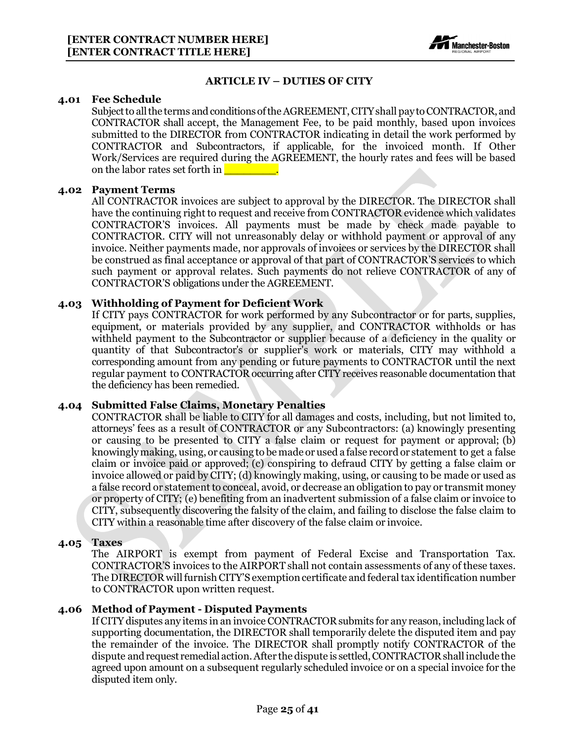

#### **ARTICLE IV – DUTIES OF CITY**

#### <span id="page-25-1"></span><span id="page-25-0"></span>**4.01 Fee Schedule**

Subject to all the terms and conditions of the AGREEMENT, CITY shall pay to CONTRACTOR, and CONTRACTOR shall accept, the Management Fee, to be paid monthly, based upon invoices submitted to the DIRECTOR from CONTRACTOR indicating in detail the work performed by CONTRACTOR and Subcontractors, if applicable, for the invoiced month. If Other Work/Services are required during the AGREEMENT, the hourly rates and fees will be based on the labor rates set forth in

#### <span id="page-25-2"></span>**4.02 Payment Terms**

All CONTRACTOR invoices are subject to approval by the DIRECTOR. The DIRECTOR shall have the continuing right to request and receive from CONTRACTOR evidence which validates CONTRACTOR'S invoices. All payments must be made by check made payable to CONTRACTOR. CITY will not unreasonably delay or withhold payment or approval of any invoice. Neither payments made, nor approvals of invoices or services by the DIRECTOR shall be construed as final acceptance or approval of that part of CONTRACTOR'S services to which such payment or approval relates. Such payments do not relieve CONTRACTOR of any of CONTRACTOR'S obligations under the AGREEMENT.

#### <span id="page-25-3"></span>**4.03 Withholding of Payment for Deficient Work**

If CITY pays CONTRACTOR for work performed by any Subcontractor or for parts, supplies, equipment, or materials provided by any supplier, and CONTRACTOR withholds or has withheld payment to the Subcontractor or supplier because of a deficiency in the quality or quantity of that Subcontractor's or supplier's work or materials, CITY may withhold a corresponding amount from any pending or future payments to CONTRACTOR until the next regular payment to CONTRACTOR occurring after CITY receives reasonable documentation that the deficiency has been remedied.

#### <span id="page-25-4"></span>**4.04 Submitted False Claims, Monetary Penalties**

CONTRACTOR shall be liable to CITY for all damages and costs, including, but not limited to, attorneys' fees as a result of CONTRACTOR or any Subcontractors: (a) knowingly presenting or causing to be presented to CITY a false claim or request for payment or approval; (b) knowinglymaking, using, or causing to be made or used a false record or statement to get a false claim or invoice paid or approved; (c) conspiring to defraud CITY by getting a false claim or invoice allowed or paid by CITY; (d) knowingly making, using, or causing to be made or used as a false record or statement to conceal, avoid, or decrease an obligation to pay or transmit money or property of CITY; (e) benefiting from an inadvertent submission of a false claim or invoice to CITY, subsequently discovering the falsity of the claim, and failing to disclose the false claim to CITY within a reasonable time after discovery of the false claim or invoice.

#### <span id="page-25-5"></span>**4.05 Taxes**

The AIRPORT is exempt from payment of Federal Excise and Transportation Tax. CONTRACTOR'S invoices to the AIRPORT shall not contain assessments of any of these taxes. The DIRECTOR will furnish CITY'S exemption certificate and federal tax identification number to CONTRACTOR upon written request.

#### <span id="page-25-6"></span>**4.06 Method of Payment - Disputed Payments**

If CITY disputes any items in an invoice CONTRACTOR submits for any reason, including lack of supporting documentation, the DIRECTOR shall temporarily delete the disputed item and pay the remainder of the invoice. The DIRECTOR shall promptly notify CONTRACTOR of the dispute and request remedial action. After the dispute is settled, CONTRACTOR shall include the agreed upon amount on a subsequent regularly scheduled invoice or on a special invoice for the disputed item only.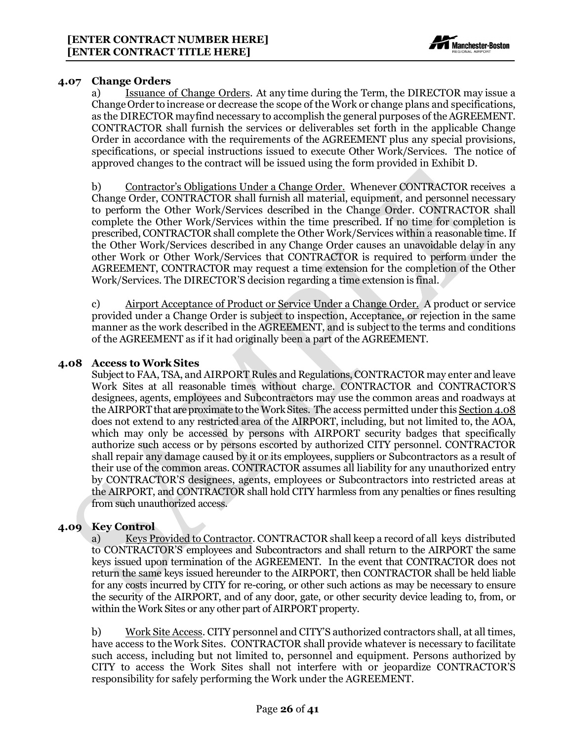

#### <span id="page-26-0"></span>**4.07 Change Orders**

a) Issuance of Change Orders. At any time during the Term, the DIRECTOR may issue a Change Order to increase or decrease the scope of the Work or change plans and specifications, as the DIRECTOR mayfind necessary to accomplish the general purposes of the AGREEMENT. CONTRACTOR shall furnish the services or deliverables set forth in the applicable Change Order in accordance with the requirements of the AGREEMENT plus any special provisions, specifications, or special instructions issued to execute Other Work/Services. The notice of approved changes to the contract will be issued using the form provided in Exhibit D.

b) Contractor's Obligations Under a Change Order. Whenever CONTRACTOR receives a Change Order, CONTRACTOR shall furnish all material, equipment, and personnel necessary to perform the Other Work/Services described in the Change Order. CONTRACTOR shall complete the Other Work/Services within the time prescribed. If no time for completion is prescribed, CONTRACTOR shall complete the Other Work/Services within a reasonable time. If the Other Work/Services described in any Change Order causes an unavoidable delay in any other Work or Other Work/Services that CONTRACTOR is required to perform under the AGREEMENT, CONTRACTOR may request a time extension for the completion of the Other Work/Services. The DIRECTOR'S decision regarding a time extension is final.

c) Airport Acceptance of Product or Service Under a Change Order. A product or service provided under a Change Order is subject to inspection, Acceptance, or rejection in the same manner as the work described in the AGREEMENT, and is subject to the terms and conditions of the AGREEMENT as if it had originally been a part of the AGREEMENT.

#### <span id="page-26-1"></span>**4.08 Access to Work Sites**

Subject to FAA, TSA, and AIRPORT Rules and Regulations, CONTRACTOR may enter and leave Work Sites at all reasonable times without charge. CONTRACTOR and CONTRACTOR'S designees, agents, employees and Subcontractors may use the common areas and roadways at the AIRPORT that are proximate to the Work Sites. The access permitted under this Section 4.08 does not extend to any restricted area of the AIRPORT, including, but not limited to, the AOA, which may only be accessed by persons with AIRPORT security badges that specifically authorize such access or by persons escorted by authorized CITY personnel. CONTRACTOR shall repair any damage caused by it or its employees, suppliers or Subcontractors as a result of their use of the common areas. CONTRACTOR assumes all liability for any unauthorized entry by CONTRACTOR'S designees, agents, employees or Subcontractors into restricted areas at the AIRPORT, and CONTRACTOR shall hold CITY harmless from any penalties or fines resulting from such unauthorized access.

#### <span id="page-26-2"></span>**4.09 Key Control**

a) Keys Provided to Contractor. CONTRACTOR shall keep a record of all keys distributed to CONTRACTOR'S employees and Subcontractors and shall return to the AIRPORT the same keys issued upon termination of the AGREEMENT. In the event that CONTRACTOR does not return the same keys issued hereunder to the AIRPORT, then CONTRACTOR shall be held liable for any costs incurred by CITY for re-coring, or other such actions as may be necessary to ensure the security of the AIRPORT, and of any door, gate, or other security device leading to, from, or within the Work Sites or any other part of AIRPORT property.

b) Work Site Access. CITY personnel and CITY'S authorized contractors shall, at all times, have access to the Work Sites. CONTRACTOR shall provide whatever is necessary to facilitate such access, including but not limited to, personnel and equipment. Persons authorized by CITY to access the Work Sites shall not interfere with or jeopardize CONTRACTOR'S responsibility for safely performing the Work under the AGREEMENT.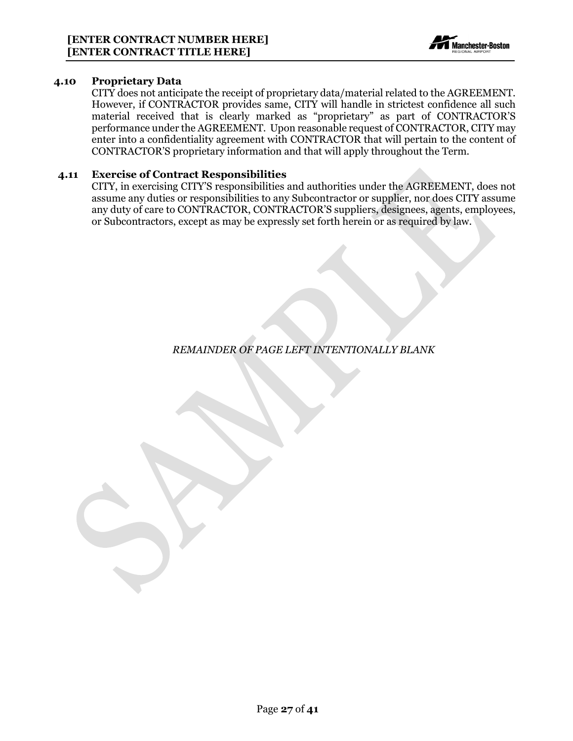

#### <span id="page-27-0"></span>**4.10 Proprietary Data**

CITY does not anticipate the receipt of proprietary data/material related to the AGREEMENT. However, if CONTRACTOR provides same, CITY will handle in strictest confidence all such material received that is clearly marked as "proprietary" as part of CONTRACTOR'S performance under the AGREEMENT. Upon reasonable request of CONTRACTOR, CITY may enter into a confidentiality agreement with CONTRACTOR that will pertain to the content of CONTRACTOR'S proprietary information and that will apply throughout the Term.

#### <span id="page-27-1"></span>**4.11 Exercise of Contract Responsibilities**

CITY, in exercising CITY'S responsibilities and authorities under the AGREEMENT, does not assume any duties or responsibilities to any Subcontractor or supplier, nor does CITY assume any duty of care to CONTRACTOR, CONTRACTOR'S suppliers, designees, agents, employees, or Subcontractors, except as may be expressly set forth herein or as required by law.

*REMAINDER OF PAGE LEFT INTENTIONALLY BLANK*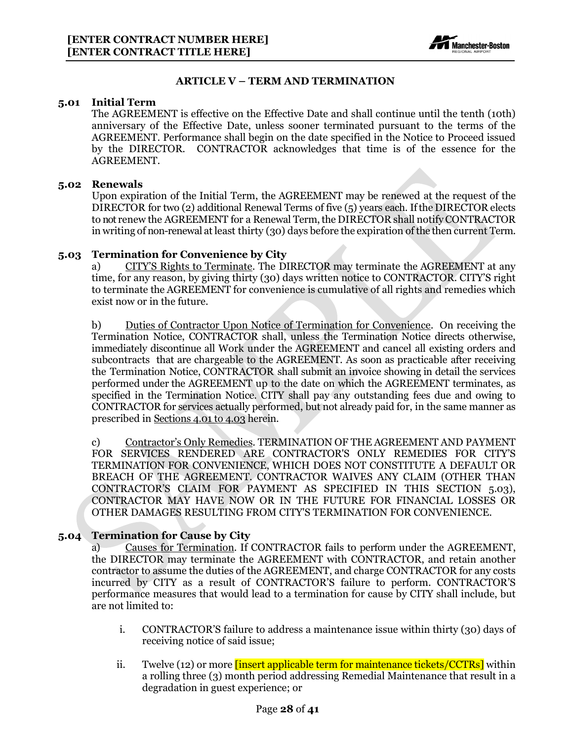

#### **ARTICLE V – TERM AND TERMINATION**

#### <span id="page-28-1"></span><span id="page-28-0"></span>**5.01 Initial Term**

The AGREEMENT is effective on the Effective Date and shall continue until the tenth (10th) anniversary of the Effective Date, unless sooner terminated pursuant to the terms of the AGREEMENT. Performance shall begin on the date specified in the Notice to Proceed issued by the DIRECTOR. CONTRACTOR acknowledges that time is of the essence for the AGREEMENT.

#### <span id="page-28-2"></span>**5.02 Renewals**

Upon expiration of the Initial Term, the AGREEMENT may be renewed at the request of the DIRECTOR for two (2) additional Renewal Terms of five (5) years each. Ifthe DIRECTOR elects to not renew the AGREEMENT for a Renewal Term, the DIRECTOR shall notify CONTRACTOR in writing of non-renewal at least thirty (30) days before the expiration of the then current Term.

#### <span id="page-28-3"></span>**5.03 Termination for Convenience by City**

a) CITY'S Rights to Terminate. The DIRECTOR may terminate the AGREEMENT at any time, for any reason, by giving thirty (30) days written notice to CONTRACTOR. CITY'S right to terminate the AGREEMENT for convenience is cumulative of all rights and remedies which exist now or in the future.

b) Duties of Contractor Upon Notice of Termination for Convenience. On receiving the Termination Notice, CONTRACTOR shall, unless the Termination Notice directs otherwise, immediately discontinue all Work under the AGREEMENT and cancel all existing orders and subcontracts that are chargeable to the AGREEMENT. As soon as practicable after receiving the Termination Notice, CONTRACTOR shall submit an invoice showing in detail the services performed under the AGREEMENT up to the date on which the AGREEMENT terminates, as specified in the Termination Notice. CITY shall pay any outstanding fees due and owing to CONTRACTOR for services actually performed, but not already paid for, in the same manner as prescribed in Sections 4.01 to 4.03 herein.

c) Contractor's Only Remedies. TERMINATION OF THE AGREEMENT AND PAYMENT FOR SERVICES RENDERED ARE CONTRACTOR'S ONLY REMEDIES FOR CITY'S TERMINATION FOR CONVENIENCE, WHICH DOES NOT CONSTITUTE A DEFAULT OR BREACH OF THE AGREEMENT. CONTRACTOR WAIVES ANY CLAIM (OTHER THAN CONTRACTOR'S CLAIM FOR PAYMENT AS SPECIFIED IN THIS SECTION 5.03), CONTRACTOR MAY HAVE NOW OR IN THE FUTURE FOR FINANCIAL LOSSES OR OTHER DAMAGES RESULTING FROM CITY'S TERMINATION FOR CONVENIENCE.

## <span id="page-28-4"></span>**5.04 Termination for Cause by City**

a) Causes for Termination. If CONTRACTOR fails to perform under the AGREEMENT, the DIRECTOR may terminate the AGREEMENT with CONTRACTOR, and retain another contractor to assume the duties of the AGREEMENT, and charge CONTRACTOR for any costs incurred by CITY as a result of CONTRACTOR'S failure to perform. CONTRACTOR'S performance measures that would lead to a termination for cause by CITY shall include, but are not limited to:

- i. CONTRACTOR'S failure to address a maintenance issue within thirty (30) days of receiving notice of said issue;
- ii. Twelve (12) or more *finsert applicable term for maintenance tickets/CCTRs* within a rolling three (3) month period addressing Remedial Maintenance that result in a degradation in guest experience; or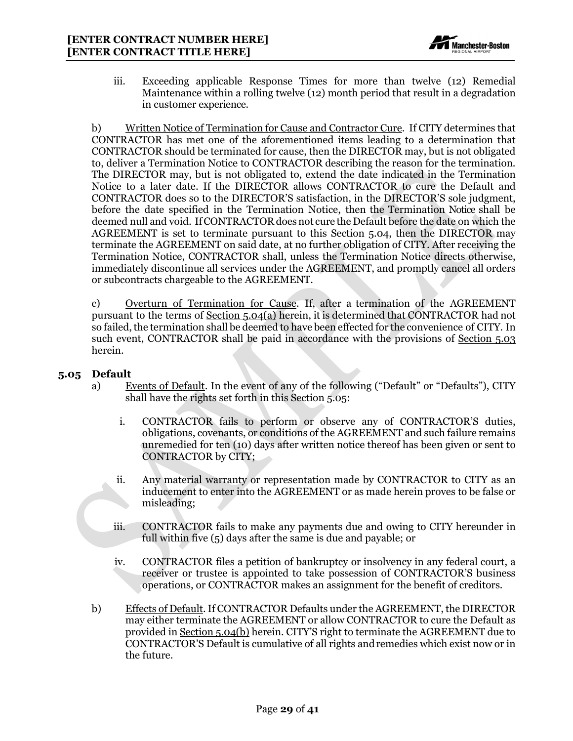

iii. Exceeding applicable Response Times for more than twelve (12) Remedial Maintenance within a rolling twelve (12) month period that result in a degradation in customer experience.

b) Written Notice of Termination for Cause and Contractor Cure. If CITY determines that CONTRACTOR has met one of the aforementioned items leading to a determination that CONTRACTOR should be terminated for cause, then the DIRECTOR may, but is not obligated to, deliver a Termination Notice to CONTRACTOR describing the reason for the termination. The DIRECTOR may, but is not obligated to, extend the date indicated in the Termination Notice to a later date. If the DIRECTOR allows CONTRACTOR to cure the Default and CONTRACTOR does so to the DIRECTOR'S satisfaction, in the DIRECTOR'S sole judgment, before the date specified in the Termination Notice, then the Termination Notice shall be deemed null and void. IfCONTRACTOR does not cure the Default before the date on which the AGREEMENT is set to terminate pursuant to this Section 5.04, then the DIRECTOR may terminate the AGREEMENT on said date, at no further obligation of CITY. After receiving the Termination Notice, CONTRACTOR shall, unless the Termination Notice directs otherwise, immediately discontinue all services under the AGREEMENT, and promptly cancel all orders or subcontracts chargeable to the AGREEMENT.

c) Overturn of Termination for Cause. If, after a termination of the AGREEMENT pursuant to the terms of Section 5.04(a) herein, it is determined that CONTRACTOR had not so failed, the termination shall be deemed to have been effected for the convenience of CITY. In such event, CONTRACTOR shall be paid in accordance with the provisions of Section 5.03 herein.

#### <span id="page-29-0"></span>**5.05 Default**

- a) Events of Default. In the event of any of the following ("Default" or "Defaults"), CITY shall have the rights set forth in this Section 5.05:
	- i. CONTRACTOR fails to perform or observe any of CONTRACTOR'S duties, obligations, covenants, or conditions of the AGREEMENT and such failure remains unremedied for ten (10) days after written notice thereof has been given or sent to CONTRACTOR by CITY;
	- ii. Any material warranty or representation made by CONTRACTOR to CITY as an inducement to enter into the AGREEMENT or as made herein proves to be false or misleading;
	- iii. CONTRACTOR fails to make any payments due and owing to CITY hereunder in full within five (5) days after the same is due and payable; or
	- iv. CONTRACTOR files a petition of bankruptcy or insolvency in any federal court, a receiver or trustee is appointed to take possession of CONTRACTOR'S business operations, or CONTRACTOR makes an assignment for the benefit of creditors.
- b) Effects of Default. If CONTRACTOR Defaults under the AGREEMENT, the DIRECTOR may either terminate the AGREEMENT or allow CONTRACTOR to cure the Default as provided in Section 5.04(b) herein. CITY'S right to terminate the AGREEMENT due to CONTRACTOR'S Default is cumulative of all rights andremedies which exist now or in the future.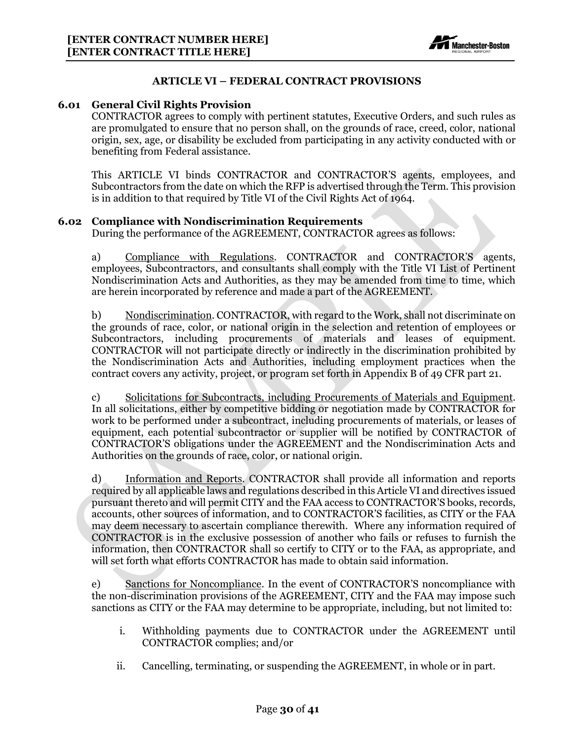

#### **ARTICLE VI – FEDERAL CONTRACT PROVISIONS**

#### <span id="page-30-1"></span><span id="page-30-0"></span>**6.01 General Civil Rights Provision**

CONTRACTOR agrees to comply with pertinent statutes, Executive Orders, and such rules as are promulgated to ensure that no person shall, on the grounds of race, creed, color, national origin, sex, age, or disability be excluded from participating in any activity conducted with or benefiting from Federal assistance.

This ARTICLE VI binds CONTRACTOR and CONTRACTOR'S agents, employees, and Subcontractors from the date on which the RFP is advertised through the Term. This provision is in addition to that required by Title VI of the Civil Rights Act of 1964.

#### <span id="page-30-2"></span>**6.02 Compliance with Nondiscrimination Requirements**

During the performance of the AGREEMENT, CONTRACTOR agrees as follows:

a) Compliance with Regulations. CONTRACTOR and CONTRACTOR'S agents, employees, Subcontractors, and consultants shall comply with the Title VI List of Pertinent Nondiscrimination Acts and Authorities, as they may be amended from time to time, which are herein incorporated by reference and made a part of the AGREEMENT.

b) Nondiscrimination. CONTRACTOR, with regard to the Work, shall not discriminate on the grounds of race, color, or national origin in the selection and retention of employees or Subcontractors, including procurements of materials and leases of equipment. CONTRACTOR will not participate directly or indirectly in the discrimination prohibited by the Nondiscrimination Acts and Authorities, including employment practices when the contract covers any activity, project, or program set forth in Appendix B of 49 CFR part 21.

c) Solicitations for Subcontracts, including Procurements of Materials and Equipment. In all solicitations, either by competitive bidding or negotiation made by CONTRACTOR for work to be performed under a subcontract, including procurements of materials, or leases of equipment, each potential subcontractor or supplier will be notified by CONTRACTOR of CONTRACTOR'S obligations under the AGREEMENT and the Nondiscrimination Acts and Authorities on the grounds of race, color, or national origin.

d) Information and Reports. CONTRACTOR shall provide all information and reports required by all applicable laws and regulations described in this Article VI and directives issued pursuant thereto and will permit CITY and the FAA access to CONTRACTOR'S books, records, accounts, other sources of information, and to CONTRACTOR'S facilities, as CITY or the FAA may deem necessary to ascertain compliance therewith. Where any information required of CONTRACTOR is in the exclusive possession of another who fails or refuses to furnish the information, then CONTRACTOR shall so certify to CITY or to the FAA, as appropriate, and will set forth what efforts CONTRACTOR has made to obtain said information.

e) Sanctions for Noncompliance. In the event of CONTRACTOR'S noncompliance with the non-discrimination provisions of the AGREEMENT, CITY and the FAA may impose such sanctions as CITY or the FAA may determine to be appropriate, including, but not limited to:

- i. Withholding payments due to CONTRACTOR under the AGREEMENT until CONTRACTOR complies; and/or
- ii. Cancelling, terminating, or suspending the AGREEMENT, in whole or in part.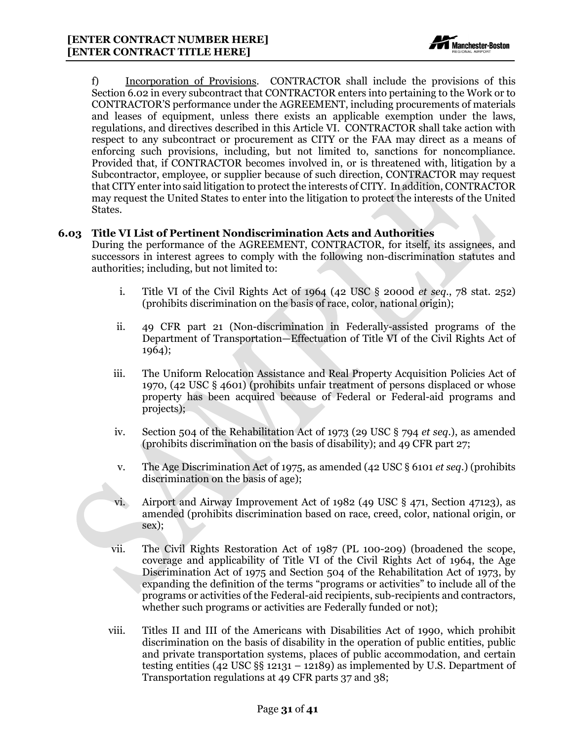

f) Incorporation of Provisions.CONTRACTOR shall include the provisions of this Section 6.02 in every subcontract that CONTRACTOR enters into pertaining to the Work or to CONTRACTOR'S performance under the AGREEMENT, including procurements of materials and leases of equipment, unless there exists an applicable exemption under the laws, regulations, and directives described in this Article VI. CONTRACTOR shall take action with respect to any subcontract or procurement as CITY or the FAA may direct as a means of enforcing such provisions, including, but not limited to, sanctions for noncompliance. Provided that, if CONTRACTOR becomes involved in, or is threatened with, litigation by a Subcontractor, employee, or supplier because of such direction, CONTRACTOR may request that CITY enter into said litigation to protect the interests of CITY. In addition, CONTRACTOR may request the United States to enter into the litigation to protect the interests of the United States.

#### <span id="page-31-0"></span>**6.03 Title VI List of Pertinent Nondiscrimination Acts and Authorities**

During the performance of the AGREEMENT, CONTRACTOR, for itself, its assignees, and successors in interest agrees to comply with the following non-discrimination statutes and authorities; including, but not limited to:

- i. Title VI of the Civil Rights Act of 1964 (42 USC § 2000d *et seq*., 78 stat. 252) (prohibits discrimination on the basis of race, color, national origin);
- ii. 49 CFR part 21 (Non-discrimination in Federally-assisted programs of the Department of Transportation—Effectuation of Title VI of the Civil Rights Act of 1964);
- iii. The Uniform Relocation Assistance and Real Property Acquisition Policies Act of 1970, (42 USC § 4601) (prohibits unfair treatment of persons displaced or whose property has been acquired because of Federal or Federal-aid programs and projects);
- iv. Section 504 of the Rehabilitation Act of 1973 (29 USC § 794 *et seq*.), as amended (prohibits discrimination on the basis of disability); and 49 CFR part 27;
- v. The Age Discrimination Act of 1975, as amended (42 USC § 6101 *et seq*.) (prohibits discrimination on the basis of age);
- vi. Airport and Airway Improvement Act of 1982 (49 USC § 471, Section 47123), as amended (prohibits discrimination based on race, creed, color, national origin, or sex);
- vii. The Civil Rights Restoration Act of 1987 (PL 100-209) (broadened the scope, coverage and applicability of Title VI of the Civil Rights Act of 1964, the Age Discrimination Act of 1975 and Section 504 of the Rehabilitation Act of 1973, by expanding the definition of the terms "programs or activities" to include all of the programs or activities of the Federal-aid recipients, sub-recipients and contractors, whether such programs or activities are Federally funded or not);
- viii. Titles II and III of the Americans with Disabilities Act of 1990, which prohibit discrimination on the basis of disability in the operation of public entities, public and private transportation systems, places of public accommodation, and certain testing entities (42 USC  $\S$ § 12131 – 12189) as implemented by U.S. Department of Transportation regulations at 49 CFR parts 37 and 38;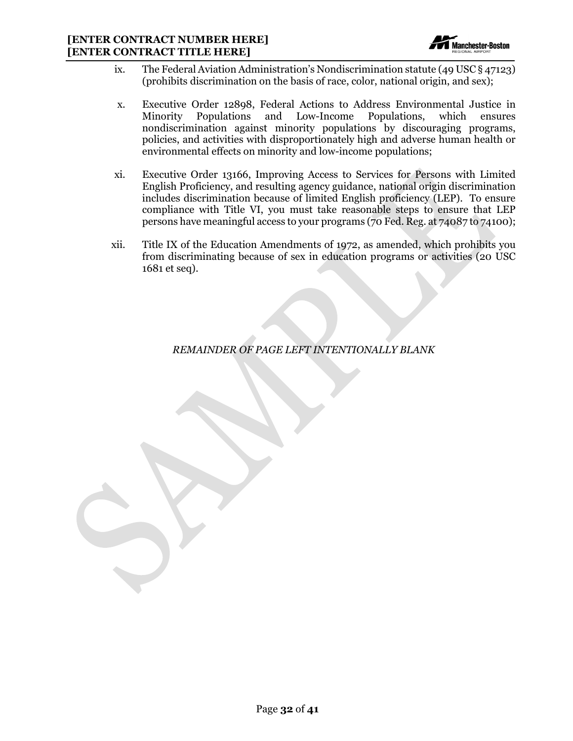

- ix. The Federal Aviation Administration's Nondiscrimination statute (49 USC § 47123) (prohibits discrimination on the basis of race, color, national origin, and sex);
- x. Executive Order 12898, Federal Actions to Address Environmental Justice in Minority Populations and Low-Income Populations, which ensures nondiscrimination against minority populations by discouraging programs, policies, and activities with disproportionately high and adverse human health or environmental effects on minority and low-income populations;
- xi. Executive Order 13166, Improving Access to Services for Persons with Limited English Proficiency, and resulting agency guidance, national origin discrimination includes discrimination because of limited English proficiency (LEP). To ensure compliance with Title VI, you must take reasonable steps to ensure that LEP persons have meaningful access to your programs (70 Fed. Reg. at 74087 to 74100);
- xii. Title IX of the Education Amendments of 1972, as amended, which prohibits you from discriminating because of sex in education programs or activities (20 USC 1681 et seq).

*REMAINDER OF PAGE LEFT INTENTIONALLY BLANK*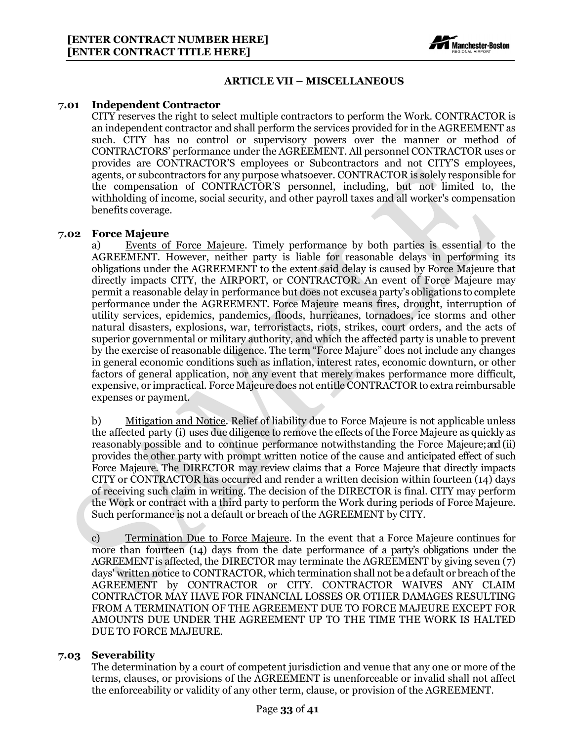

#### **ARTICLE VII – MISCELLANEOUS**

#### <span id="page-33-1"></span><span id="page-33-0"></span>**7.01 Independent Contractor**

CITY reserves the right to select multiple contractors to perform the Work. CONTRACTOR is an independent contractor and shall perform the services provided for in the AGREEMENT as such. CITY has no control or supervisory powers over the manner or method of CONTRACTORS' performance under the AGREEMENT. All personnel CONTRACTOR uses or provides are CONTRACTOR'S employees or Subcontractors and not CITY'S employees, agents, or subcontractors for any purpose whatsoever. CONTRACTOR is solely responsible for the compensation of CONTRACTOR'S personnel, including, but not limited to, the withholding of income, social security, and other payroll taxes and all worker's compensation benefits coverage.

#### <span id="page-33-2"></span>**7.02 Force Majeure**

a) Events of Force Majeure. Timely performance by both parties is essential to the AGREEMENT. However, neither party is liable for reasonable delays in performing its obligations under the AGREEMENT to the extent said delay is caused by Force Majeure that directly impacts CITY, the AIRPORT, or CONTRACTOR. An event of Force Majeure may permit a reasonable delay in performance but does not excuse a party's obligations to complete performance under the AGREEMENT. Force Majeure means fires, drought, interruption of utility services, epidemics, pandemics, floods, hurricanes, tornadoes, ice storms and other natural disasters, explosions, war, terroristacts, riots, strikes, court orders, and the acts of superior governmental or military authority, and which the affected party is unable to prevent by the exercise of reasonable diligence. The term "Force Majure" does not include any changes in general economic conditions such as inflation, interest rates, economic downturn, or other factors of general application, nor any event that merely makes performance more difficult, expensive, or impractical. Force Majeure does not entitle CONTRACTOR to extra reimbursable expenses or payment.

b) Mitigation and Notice. Relief of liability due to Force Majeure is not applicable unless the affected party (i) uses due diligence to remove the effects of the Force Majeure as quickly as reasonably possible and to continue performance notwithstanding the Force Majeure;and (ii) provides the other party with prompt written notice of the cause and anticipated effect of such Force Majeure. The DIRECTOR may review claims that a Force Majeure that directly impacts CITY or CONTRACTOR has occurred and render a written decision within fourteen (14) days of receiving such claim in writing. The decision of the DIRECTOR is final. CITY may perform the Work or contract with a third party to perform the Work during periods of Force Majeure. Such performance is not a default or breach of the AGREEMENT by CITY.

c) Termination Due to Force Majeure. In the event that a Force Majeure continues for more than fourteen (14) days from the date performance of a party's obligations under the AGREEMENTis affected, the DIRECTOR may terminate the AGREEMENT by giving seven (7) days' written notice to CONTRACTOR, which termination shall not be a default or breach ofthe AGREEMENT by CONTRACTOR or CITY. CONTRACTOR WAIVES ANY CLAIM CONTRACTOR MAY HAVE FOR FINANCIAL LOSSES OR OTHER DAMAGES RESULTING FROM A TERMINATION OF THE AGREEMENT DUE TO FORCE MAJEURE EXCEPT FOR AMOUNTS DUE UNDER THE AGREEMENT UP TO THE TIME THE WORK IS HALTED DUE TO FORCE MAJEURE.

#### <span id="page-33-3"></span>**7.03 Severability**

The determination by a court of competent jurisdiction and venue that any one or more of the terms, clauses, or provisions of the AGREEMENT is unenforceable or invalid shall not affect the enforceability or validity of any other term, clause, or provision of the AGREEMENT.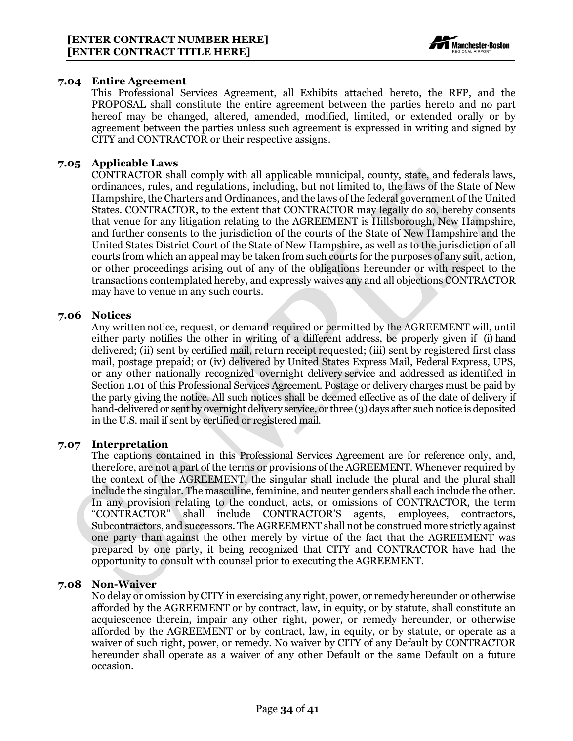

#### <span id="page-34-0"></span>**7.04 Entire Agreement**

This Professional Services Agreement, all Exhibits attached hereto, the RFP, and the PROPOSAL shall constitute the entire agreement between the parties hereto and no part hereof may be changed, altered, amended, modified, limited, or extended orally or by agreement between the parties unless such agreement is expressed in writing and signed by CITY and CONTRACTOR or their respective assigns.

#### <span id="page-34-1"></span>**7.05 Applicable Laws**

CONTRACTOR shall comply with all applicable municipal, county, state, and federals laws, ordinances, rules, and regulations, including, but not limited to, the laws of the State of New Hampshire, the Charters and Ordinances, and the laws of the federal government of the United States. CONTRACTOR, to the extent that CONTRACTOR may legally do so, hereby consents that venue for any litigation relating to the AGREEMENT is Hillsborough, New Hampshire, and further consents to the jurisdiction of the courts of the State of New Hampshire and the United States District Court of the State of New Hampshire, as well as to the jurisdiction of all courts from which an appeal may be taken from such courts for the purposes of any suit, action, or other proceedings arising out of any of the obligations hereunder or with respect to the transactions contemplated hereby, and expressly waives any and all objections CONTRACTOR may have to venue in any such courts.

#### <span id="page-34-2"></span>**7.06 Notices**

Any written notice, request, or demand required or permitted by the AGREEMENT will, until either party notifies the other in writing of a different address, be properly given if (i) hand delivered; (ii) sent by certified mail, return receipt requested; (iii) sent by registered first class mail, postage prepaid; or (iv) delivered by United States Express Mail, Federal Express, UPS, or any other nationally recognized overnight delivery service and addressed as identified in Section 1.01 of this Professional Services Agreement. Postage or delivery charges must be paid by the party giving the notice. All such notices shall be deemed effective as of the date of delivery if hand-delivered or sent by overnight delivery service, or three (3) days after such notice is deposited in the U.S. mail if sent by certified or registered mail.

#### <span id="page-34-3"></span>**7.07 Interpretation**

The captions contained in this Professional Services Agreement are for reference only, and, therefore, are not a part of the terms or provisions of the AGREEMENT. Whenever required by the context of the AGREEMENT, the singular shall include the plural and the plural shall include the singular. The masculine, feminine, and neuter genders shall each include the other. In any provision relating to the conduct, acts, or omissions of CONTRACTOR, the term "CONTRACTOR" shall include CONTRACTOR'S agents, employees, contractors, Subcontractors, and successors. The AGREEMENT shall not be construed more strictly against one party than against the other merely by virtue of the fact that the AGREEMENT was prepared by one party, it being recognized that CITY and CONTRACTOR have had the opportunity to consult with counsel prior to executing the AGREEMENT.

### <span id="page-34-4"></span>**7.08 Non-Waiver**

No delay or omission by CITY in exercising any right, power, or remedy hereunder or otherwise afforded by the AGREEMENT or by contract, law, in equity, or by statute, shall constitute an acquiescence therein, impair any other right, power, or remedy hereunder, or otherwise afforded by the AGREEMENT or by contract, law, in equity, or by statute, or operate as a waiver of such right, power, or remedy. No waiver by CITY of any Default by CONTRACTOR hereunder shall operate as a waiver of any other Default or the same Default on a future occasion.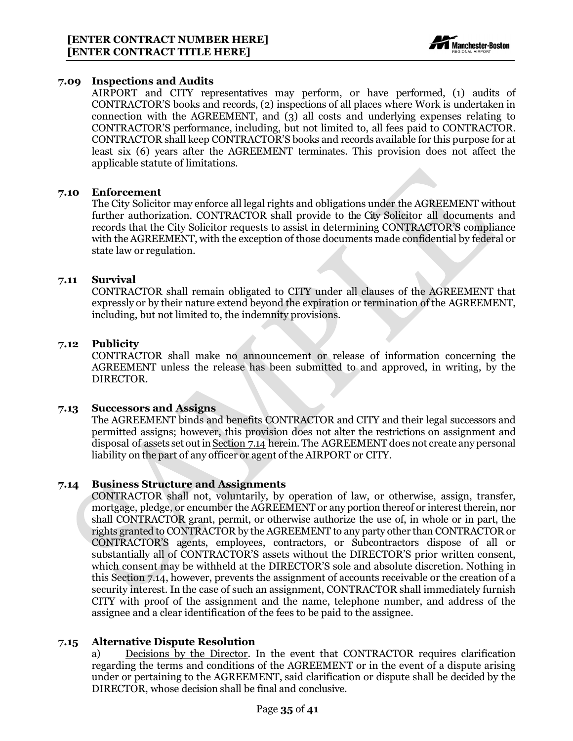

#### <span id="page-35-0"></span>**7.09 Inspections and Audits**

AIRPORT and CITY representatives may perform, or have performed, (1) audits of CONTRACTOR'S books and records, (2) inspections of all places where Work is undertaken in connection with the AGREEMENT, and (3) all costs and underlying expenses relating to CONTRACTOR'S performance, including, but not limited to, all fees paid to CONTRACTOR. CONTRACTOR shall keep CONTRACTOR'S books and records available for this purpose for at least six (6) years after the AGREEMENT terminates. This provision does not affect the applicable statute of limitations.

#### <span id="page-35-1"></span>**7.10 Enforcement**

The City Solicitor may enforce all legal rights and obligations under the AGREEMENT without further authorization. CONTRACTOR shall provide to the City Solicitor all documents and records that the City Solicitor requests to assist in determining CONTRACTOR'S compliance with the AGREEMENT, with the exception of those documents made confidential by federal or state law or regulation.

#### <span id="page-35-2"></span>**7.11 Survival**

CONTRACTOR shall remain obligated to CITY under all clauses of the AGREEMENT that expressly or by their nature extend beyond the expiration or termination of the AGREEMENT, including, but not limited to, the indemnity provisions.

#### <span id="page-35-3"></span>**7.12 Publicity**

CONTRACTOR shall make no announcement or release of information concerning the AGREEMENT unless the release has been submitted to and approved, in writing, by the DIRECTOR.

#### <span id="page-35-4"></span>**7.13 Successors and Assigns**

The AGREEMENT binds and benefits CONTRACTOR and CITY and their legal successors and permitted assigns; however, this provision does not alter the restrictions on assignment and disposal of assets set outin Section 7.14 herein. The AGREEMENT does not create any personal liability on the part of any officer or agent of the AIRPORT or CITY.

#### <span id="page-35-5"></span>**7.14 Business Structure and Assignments**

CONTRACTOR shall not, voluntarily, by operation of law, or otherwise, assign, transfer, mortgage, pledge, or encumber the AGREEMENT or any portion thereof or interest therein, nor shall CONTRACTOR grant, permit, or otherwise authorize the use of, in whole or in part, the rights granted to CONTRACTOR by the AGREEMENT to any party other than CONTRACTOR or CONTRACTOR'S agents, employees, contractors, or Subcontractors dispose of all or substantially all of CONTRACTOR'S assets without the DIRECTOR'S prior written consent, which consent may be withheld at the DIRECTOR'S sole and absolute discretion. Nothing in this Section 7.14, however, prevents the assignment of accounts receivable or the creation of a security interest. In the case of such an assignment, CONTRACTOR shall immediately furnish CITY with proof of the assignment and the name, telephone number, and address of the assignee and a clear identification of the fees to be paid to the assignee.

#### <span id="page-35-6"></span>**7.15 Alternative Dispute Resolution**

a) Decisions by the Director. In the event that CONTRACTOR requires clarification regarding the terms and conditions of the AGREEMENT or in the event of a dispute arising under or pertaining to the AGREEMENT, said clarification or dispute shall be decided by the DIRECTOR, whose decision shall be final and conclusive.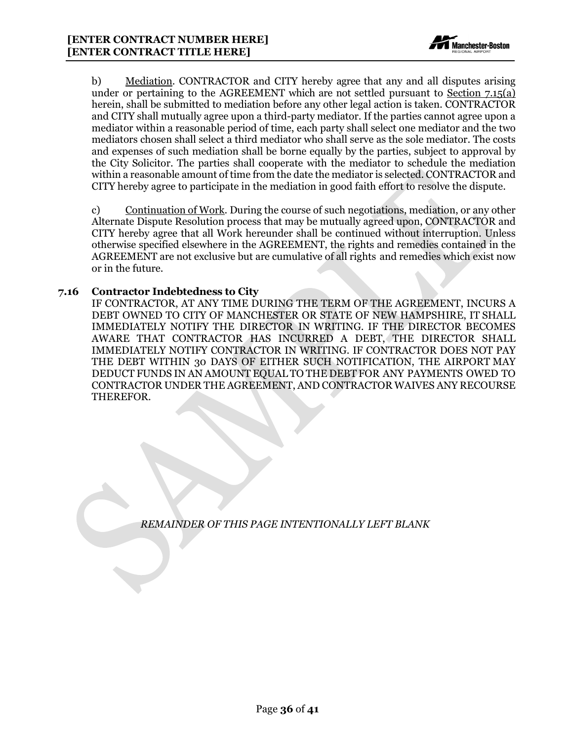

b) Mediation. CONTRACTOR and CITY hereby agree that any and all disputes arising under or pertaining to the AGREEMENT which are not settled pursuant to Section  $7.15(a)$ herein, shall be submitted to mediation before any other legal action is taken. CONTRACTOR and CITY shall mutually agree upon a third-party mediator. If the parties cannot agree upon a mediator within a reasonable period of time, each party shall select one mediator and the two mediators chosen shall select a third mediator who shall serve as the sole mediator. The costs and expenses of such mediation shall be borne equally by the parties, subject to approval by the City Solicitor. The parties shall cooperate with the mediator to schedule the mediation within a reasonable amount of time from the date the mediator is selected. CONTRACTOR and CITY hereby agree to participate in the mediation in good faith effort to resolve the dispute.

c) Continuation of Work. During the course of such negotiations, mediation, or any other Alternate Dispute Resolution process that may be mutually agreed upon, CONTRACTOR and CITY hereby agree that all Work hereunder shall be continued without interruption. Unless otherwise specified elsewhere in the AGREEMENT, the rights and remedies contained in the AGREEMENT are not exclusive but are cumulative of all rights and remedies which exist now or in the future.

#### <span id="page-36-0"></span>**7.16 Contractor Indebtedness to City**

IF CONTRACTOR, AT ANY TIME DURING THE TERM OF THE AGREEMENT, INCURS A DEBT OWNED TO CITY OF MANCHESTER OR STATE OF NEW HAMPSHIRE, IT SHALL IMMEDIATELY NOTIFY THE DIRECTOR IN WRITING. IF THE DIRECTOR BECOMES AWARE THAT CONTRACTOR HAS INCURRED A DEBT, THE DIRECTOR SHALL IMMEDIATELY NOTIFY CONTRACTOR IN WRITING. IF CONTRACTOR DOES NOT PAY THE DEBT WITHIN 30 DAYS OF EITHER SUCH NOTIFICATION, THE AIRPORT MAY DEDUCT FUNDS IN AN AMOUNT EQUAL TO THE DEBT FOR ANY PAYMENTS OWED TO CONTRACTOR UNDER THE AGREEMENT, AND CONTRACTOR WAIVES ANY RECOURSE THEREFOR.

*REMAINDER OF THIS PAGE INTENTIONALLY LEFT BLANK*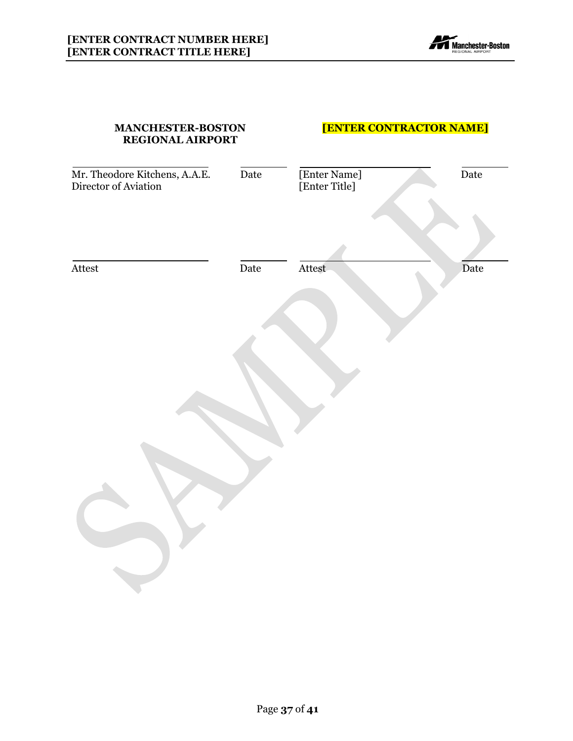

| <b>MANCHESTER-BOSTON</b><br><b>REGIONAL AIRPORT</b>   |      | <b>[ENTER CONTRACTOR NAME]</b> |      |
|-------------------------------------------------------|------|--------------------------------|------|
| Mr. Theodore Kitchens, A.A.E.<br>Director of Aviation | Date | [Enter Name]<br>[Enter Title]  | Date |
| Attest                                                | Date | Attest                         | Date |
|                                                       |      |                                |      |
|                                                       |      |                                |      |
|                                                       |      |                                |      |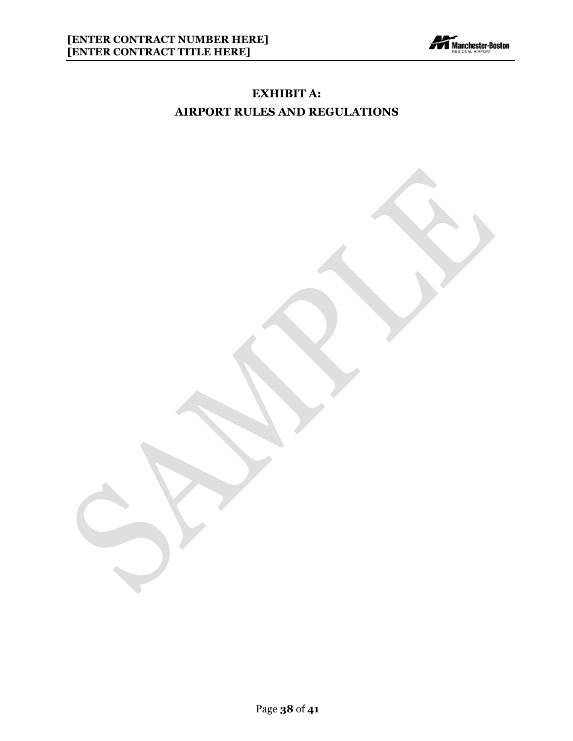

# **EXHIBIT A: AIRPORT RULES AND REGULATIONS**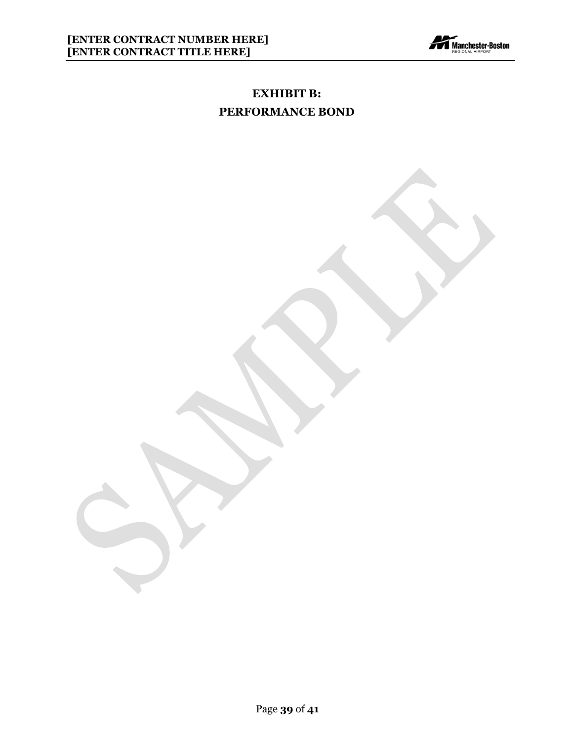

# **EXHIBIT B: PERFORMANCE BOND**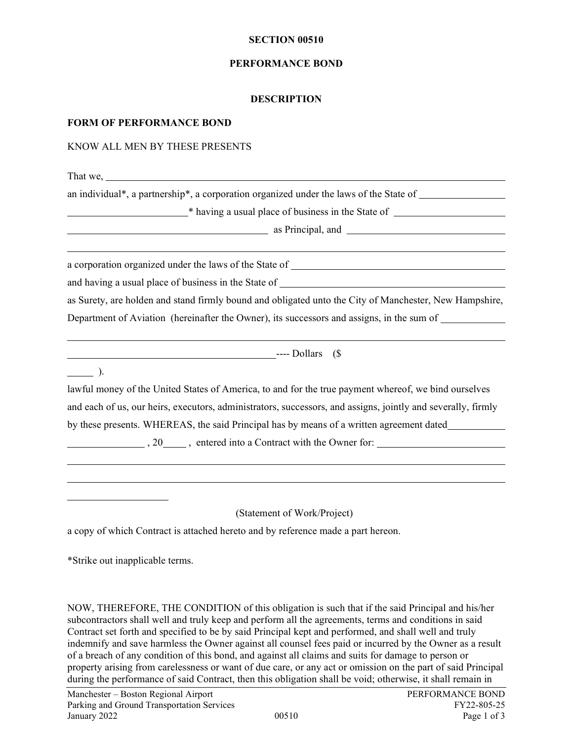#### **SECTION 00510**

#### **PERFORMANCE BOND**

#### **DESCRIPTION**

#### **FORM OF PERFORMANCE BOND**

#### KNOW ALL MEN BY THESE PRESENTS

That we,

an individual\*, a partnership\*, a corporation organized under the laws of the State of

\* having a usual place of business in the State of

as Principal, and <u>the contract of the set of the set of the set of the set of the set of the set of the set of the set of the set of the set of the set of the set of the set of the set of the set of the set of the set of </u>

a corporation organized under the laws of the State of

and having a usual place of business in the State of

as Surety, are holden and stand firmly bound and obligated unto the City of Manchester, New Hampshire, Department of Aviation (hereinafter the Owner), its successors and assigns, in the sum of

---- Dollars (\$

 $\frac{1}{\sqrt{1-\frac{1}{2}}}$ ).

lawful money of the United States of America, to and for the true payment whereof, we bind ourselves and each of us, our heirs, executors, administrators, successors, and assigns, jointly and severally, firmly by these presents. WHEREAS, the said Principal has by means of a written agreement dated

, 20 , entered into a Contract with the Owner for:

(Statement of Work/Project)

a copy of which Contract is attached hereto and by reference made a part hereon.

\*Strike out inapplicable terms.

NOW, THEREFORE, THE CONDITION of this obligation is such that if the said Principal and his/her subcontractors shall well and truly keep and perform all the agreements, terms and conditions in said Contract set forth and specified to be by said Principal kept and performed, and shall well and truly indemnify and save harmless the Owner against all counsel fees paid or incurred by the Owner as a result of a breach of any condition of this bond, and against all claims and suits for damage to person or property arising from carelessness or want of due care, or any act or omission on the part of said Principal during the performance of said Contract, then this obligation shall be void; otherwise, it shall remain in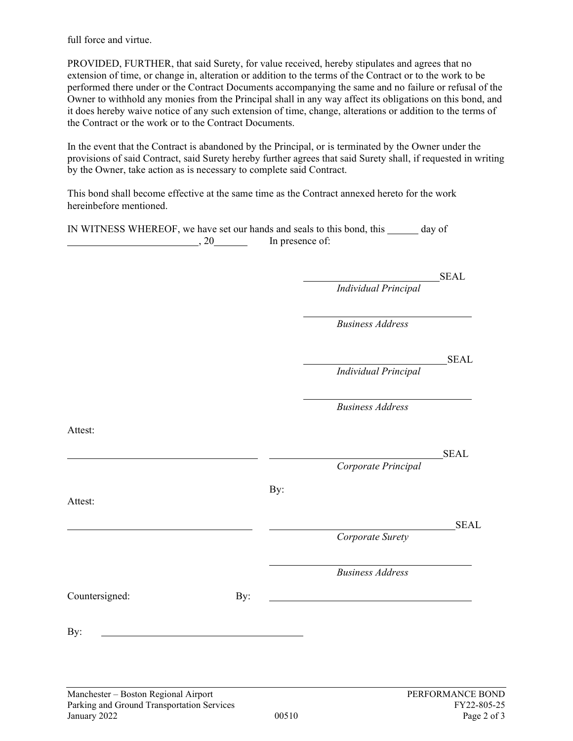full force and virtue.

PROVIDED, FURTHER, that said Surety, for value received, hereby stipulates and agrees that no extension of time, or change in, alteration or addition to the terms of the Contract or to the work to be performed there under or the Contract Documents accompanying the same and no failure or refusal of the Owner to withhold any monies from the Principal shall in any way affect its obligations on this bond, and it does hereby waive notice of any such extension of time, change, alterations or addition to the terms of the Contract or the work or to the Contract Documents.

In the event that the Contract is abandoned by the Principal, or is terminated by the Owner under the provisions of said Contract, said Surety hereby further agrees that said Surety shall, if requested in writing by the Owner, take action as is necessary to complete said Contract.

This bond shall become effective at the same time as the Contract annexed hereto for the work hereinbefore mentioned.

IN WITNESS WHEREOF, we have set our hands and seals to this bond, this day of  $, 20$  In presence of:

SEAL

*Individual Principal*

*Business Address*

SEAL

*Individual Principal*

*Business Address*

Attest:

<u>SEAL</u>

*Corporate Principal*

Attest:

<u>SEAL</u>

*Corporate Surety*

*Business Address*

Countersigned: By:

By:

By: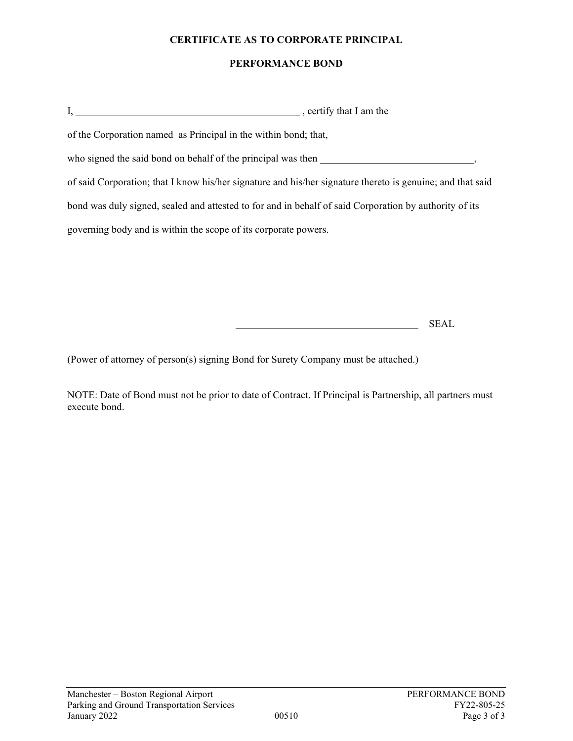#### **CERTIFICATE AS TO CORPORATE PRINCIPAL**

#### **PERFORMANCE BOND**

| , certify that I am the                                                                                    |  |
|------------------------------------------------------------------------------------------------------------|--|
| of the Corporation named as Principal in the within bond; that,                                            |  |
| who signed the said bond on behalf of the principal was then                                               |  |
| of said Corporation; that I know his/her signature and his/her signature thereto is genuine; and that said |  |
| bond was duly signed, sealed and attested to for and in behalf of said Corporation by authority of its     |  |
| governing body and is within the scope of its corporate powers.                                            |  |

SEAL

(Power of attorney of person(s) signing Bond for Surety Company must be attached.)

NOTE: Date of Bond must not be prior to date of Contract. If Principal is Partnership, all partners must execute bond.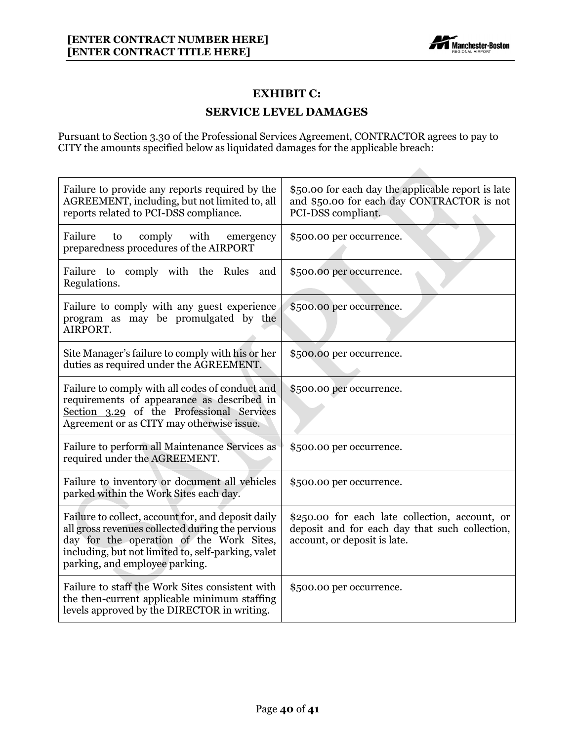

# **EXHIBIT C:**

#### **SERVICE LEVEL DAMAGES**

Pursuant to Section 3.30 of the Professional Services Agreement, CONTRACTOR agrees to pay to CITY the amounts specified below as liquidated damages for the applicable breach:

| Failure to provide any reports required by the<br>AGREEMENT, including, but not limited to, all<br>reports related to PCI-DSS compliance.                                                                                                  | \$50.00 for each day the applicable report is late<br>and \$50.00 for each day CONTRACTOR is not<br>PCI-DSS compliant.           |
|--------------------------------------------------------------------------------------------------------------------------------------------------------------------------------------------------------------------------------------------|----------------------------------------------------------------------------------------------------------------------------------|
| Failure<br>comply<br>with<br>to<br>emergency<br>preparedness procedures of the AIRPORT                                                                                                                                                     | \$500.00 per occurrence.                                                                                                         |
| Failure to comply with the Rules<br>and<br>Regulations.                                                                                                                                                                                    | \$500.00 per occurrence.                                                                                                         |
| Failure to comply with any guest experience<br>program as may be promulgated by the<br>AIRPORT.                                                                                                                                            | \$500.00 per occurrence.                                                                                                         |
| Site Manager's failure to comply with his or her<br>duties as required under the AGREEMENT.                                                                                                                                                | \$500.00 per occurrence.                                                                                                         |
| Failure to comply with all codes of conduct and<br>requirements of appearance as described in<br>Section 3.29 of the Professional Services<br>Agreement or as CITY may otherwise issue.                                                    | \$500.00 per occurrence.                                                                                                         |
| Failure to perform all Maintenance Services as<br>required under the AGREEMENT.                                                                                                                                                            | \$500.00 per occurrence.                                                                                                         |
| Failure to inventory or document all vehicles<br>parked within the Work Sites each day.                                                                                                                                                    | \$500.00 per occurrence.                                                                                                         |
| Failure to collect, account for, and deposit daily<br>all gross revenues collected during the pervious<br>day for the operation of the Work Sites,<br>including, but not limited to, self-parking, valet<br>parking, and employee parking. | \$250.00 for each late collection, account, or<br>deposit and for each day that such collection,<br>account, or deposit is late. |
| Failure to staff the Work Sites consistent with<br>the then-current applicable minimum staffing<br>levels approved by the DIRECTOR in writing.                                                                                             | \$500.00 per occurrence.                                                                                                         |